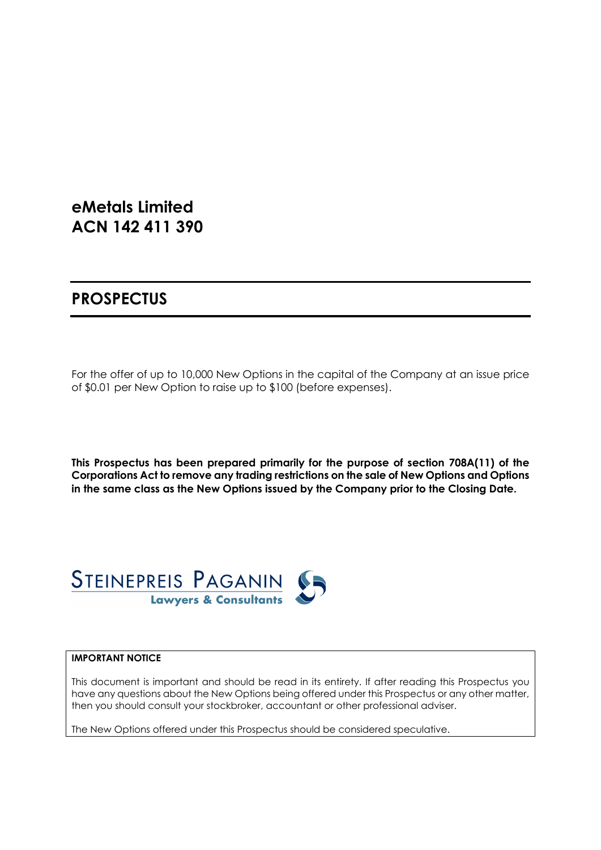# **eMetals Limited ACN 142 411 390**

# **PROSPECTUS**

For the offer of up to 10,000 New Options in the capital of the Company at an issue price of \$0.01 per New Option to raise up to \$100 (before expenses).

**This Prospectus has been prepared primarily for the purpose of section 708A(11) of the Corporations Act to remove any trading restrictions on the sale of New Options and Options in the same class as the New Options issued by the Company prior to the Closing Date.** 



#### **IMPORTANT NOTICE**

This document is important and should be read in its entirety. If after reading this Prospectus you have any questions about the New Options being offered under this Prospectus or any other matter, then you should consult your stockbroker, accountant or other professional adviser.

The New Options offered under this Prospectus should be considered speculative.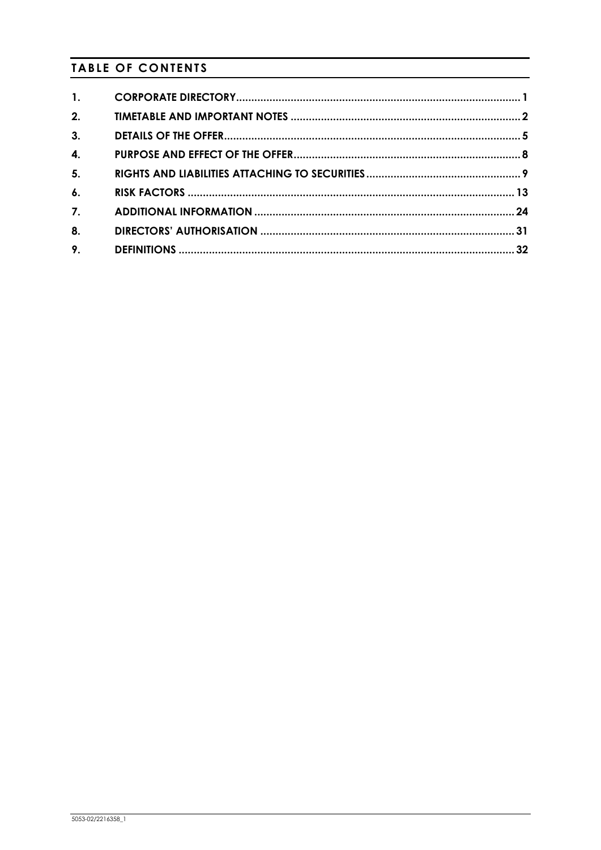# **TABLE OF CONTENTS**

| $\mathbf{1}$ .     |  |
|--------------------|--|
| 2.                 |  |
| 3.                 |  |
| $\mathbf{4}$       |  |
| 5.                 |  |
| $\boldsymbol{6}$ . |  |
| 7.                 |  |
| 8.                 |  |
| 9.                 |  |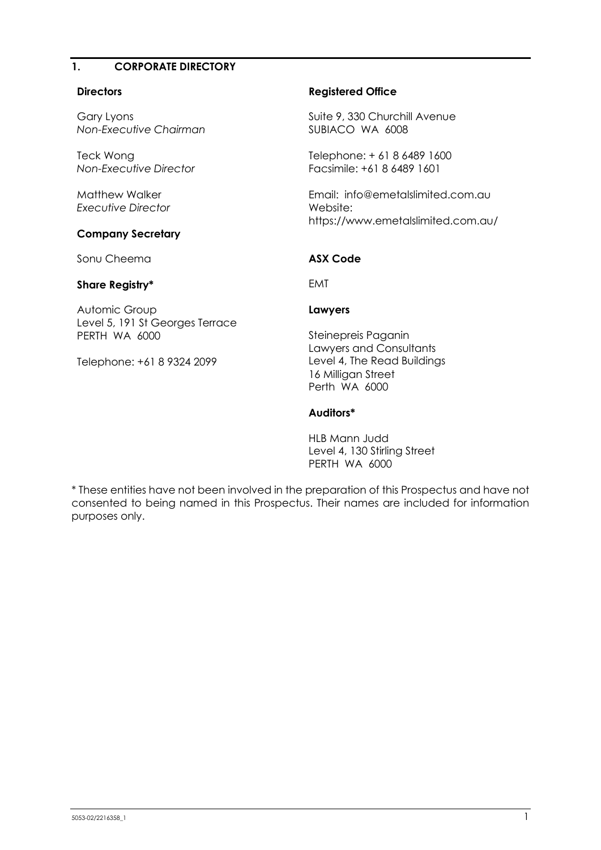#### **1. CORPORATE DIRECTORY**

#### **Directors**

Gary Lyons *Non-Executive Chairman*

Teck Wong *Non-Executive Director*

Matthew Walker *Executive Director*

#### **Company Secretary**

Sonu Cheema

#### **Share Registry\***

Automic Group Level 5, 191 St Georges Terrace PERTH WA 6000

Telephone: +61 8 9324 2099

#### **Registered Office**

Suite 9, 330 Churchill Avenue SUBIACO WA 6008

Telephone: + 61 8 6489 1600 Facsimile: +61 8 6489 1601

Email: info@emetalslimited.com.au Website: https://www.emetalslimited.com.au/

## **ASX Code**

EMT

#### **Lawyers**

Steinepreis Paganin Lawyers and Consultants Level 4, The Read Buildings 16 Milligan Street Perth WA 6000

#### **Auditors\***

HLB Mann Judd Level 4, 130 Stirling Street PERTH WA 6000

\* These entities have not been involved in the preparation of this Prospectus and have not consented to being named in this Prospectus. Their names are included for information purposes only.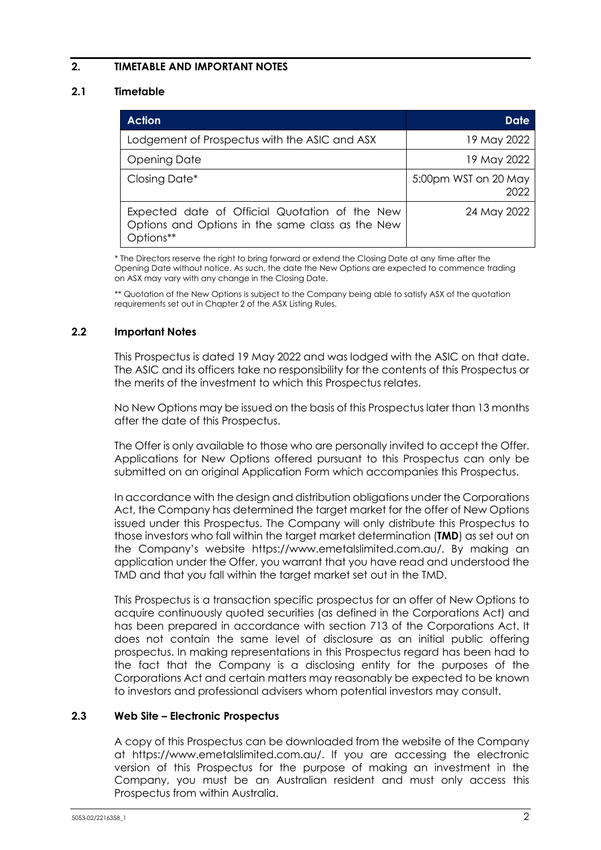# **2. TIMETABLE AND IMPORTANT NOTES**

# <span id="page-3-0"></span>**2.1 Timetable**

| <b>Action</b>                                                                                                   | Date                         |
|-----------------------------------------------------------------------------------------------------------------|------------------------------|
| Lodgement of Prospectus with the ASIC and ASX                                                                   | 19 May 2022                  |
| Opening Date                                                                                                    | 19 May 2022                  |
| Closing Date*                                                                                                   | 5:00pm WST on 20 May<br>2022 |
| Expected date of Official Quotation of the New<br>Options and Options in the same class as the New<br>Options** | 24 May 2022                  |

\* The Directors reserve the right to bring forward or extend the Closing Date at any time after the Opening Date without notice. As such, the date the New Options are expected to commence trading on ASX may vary with any change in the Closing Date.

\*\* Quotation of the New Options is subject to the Company being able to satisfy ASX of the quotation requirements set out in Chapter 2 of the ASX Listing Rules.

#### **2.2 Important Notes**

This Prospectus is dated 19 May 2022 and was lodged with the ASIC on that date. The ASIC and its officers take no responsibility for the contents of this Prospectus or the merits of the investment to which this Prospectus relates.

No New Options may be issued on the basis of this Prospectus later than 13 months after the date of this Prospectus.

The Offer is only available to those who are personally invited to accept the Offer. Applications for New Options offered pursuant to this Prospectus can only be submitted on an original Application Form which accompanies this Prospectus.

In accordance with the design and distribution obligations under the Corporations Act, the Company has determined the target market for the offer of New Options issued under this Prospectus. The Company will only distribute this Prospectus to those investors who fall within the target market determination (**TMD**) as set out on the Company's website https://www.emetalslimited.com.au/. By making an application under the Offer, you warrant that you have read and understood the TMD and that you fall within the target market set out in the TMD.

This Prospectus is a transaction specific prospectus for an offer of New Options to acquire continuously quoted securities (as defined in the Corporations Act) and has been prepared in accordance with section 713 of the Corporations Act. It does not contain the same level of disclosure as an initial public offering prospectus. In making representations in this Prospectus regard has been had to the fact that the Company is a disclosing entity for the purposes of the Corporations Act and certain matters may reasonably be expected to be known to investors and professional advisers whom potential investors may consult.

#### **2.3 Web Site – Electronic Prospectus**

A copy of this Prospectus can be downloaded from the website of the Company at https://www.emetalslimited.com.au/. If you are accessing the electronic version of this Prospectus for the purpose of making an investment in the Company, you must be an Australian resident and must only access this Prospectus from within Australia.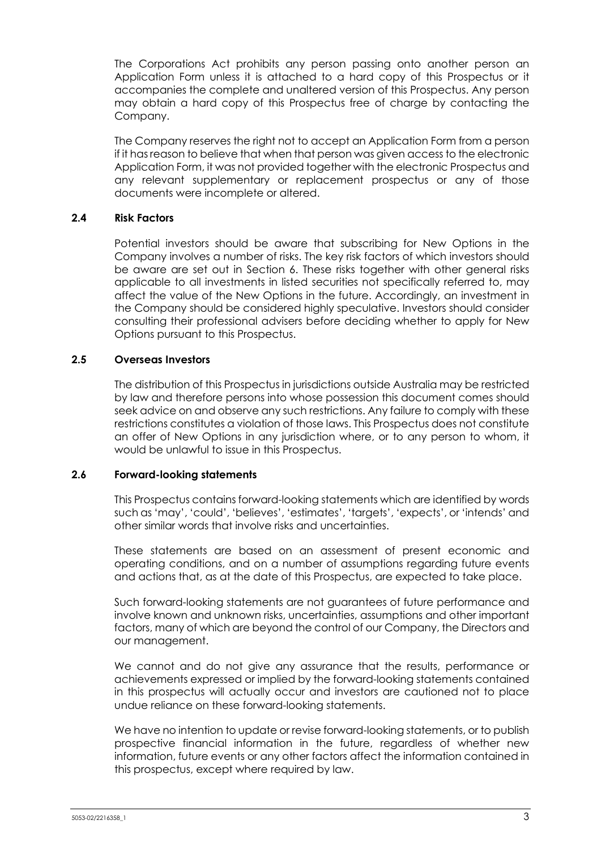The Corporations Act prohibits any person passing onto another person an Application Form unless it is attached to a hard copy of this Prospectus or it accompanies the complete and unaltered version of this Prospectus. Any person may obtain a hard copy of this Prospectus free of charge by contacting the Company.

The Company reserves the right not to accept an Application Form from a person if it has reason to believe that when that person was given access to the electronic Application Form, it was not provided together with the electronic Prospectus and any relevant supplementary or replacement prospectus or any of those documents were incomplete or altered.

## **2.4 Risk Factors**

Potential investors should be aware that subscribing for New Options in the Company involves a number of risks. The key risk factors of which investors should be aware are set out in Section [6.](#page-14-0) These risks together with other general risks applicable to all investments in listed securities not specifically referred to, may affect the value of the New Options in the future. Accordingly, an investment in the Company should be considered highly speculative. Investors should consider consulting their professional advisers before deciding whether to apply for New Options pursuant to this Prospectus.

#### **2.5 Overseas Investors**

The distribution of this Prospectus in jurisdictions outside Australia may be restricted by law and therefore persons into whose possession this document comes should seek advice on and observe any such restrictions. Any failure to comply with these restrictions constitutes a violation of those laws. This Prospectus does not constitute an offer of New Options in any jurisdiction where, or to any person to whom, it would be unlawful to issue in this Prospectus.

#### **2.6 Forward-looking statements**

This Prospectus contains forward-looking statements which are identified by words such as 'may', 'could', 'believes', 'estimates', 'targets', 'expects', or 'intends' and other similar words that involve risks and uncertainties.

These statements are based on an assessment of present economic and operating conditions, and on a number of assumptions regarding future events and actions that, as at the date of this Prospectus, are expected to take place.

Such forward-looking statements are not guarantees of future performance and involve known and unknown risks, uncertainties, assumptions and other important factors, many of which are beyond the control of our Company, the Directors and our management.

We cannot and do not give any assurance that the results, performance or achievements expressed or implied by the forward-looking statements contained in this prospectus will actually occur and investors are cautioned not to place undue reliance on these forward-looking statements.

We have no intention to update or revise forward-looking statements, or to publish prospective financial information in the future, regardless of whether new information, future events or any other factors affect the information contained in this prospectus, except where required by law.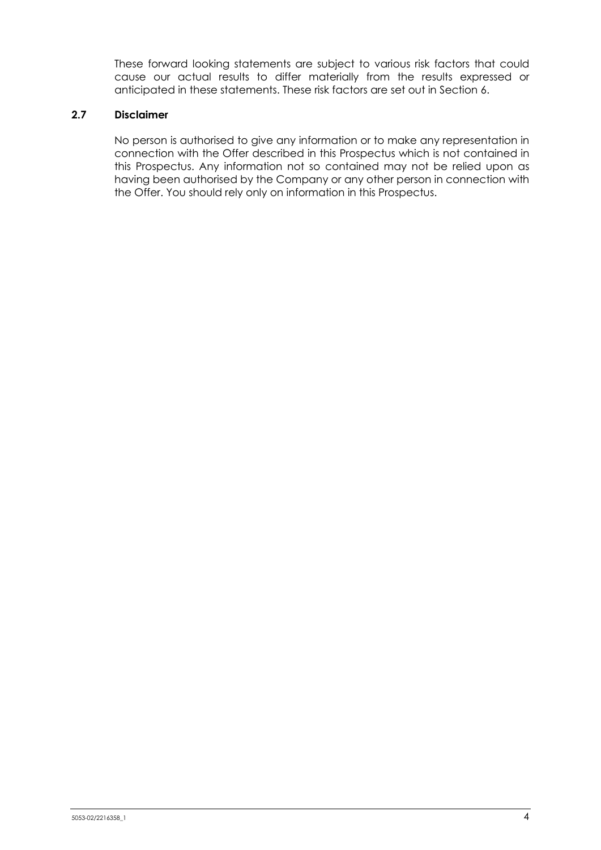These forward looking statements are subject to various risk factors that could cause our actual results to differ materially from the results expressed or anticipated in these statements. These risk factors are set out in Section 6.

#### **2.7 Disclaimer**

No person is authorised to give any information or to make any representation in connection with the Offer described in this Prospectus which is not contained in this Prospectus. Any information not so contained may not be relied upon as having been authorised by the Company or any other person in connection with the Offer. You should rely only on information in this Prospectus.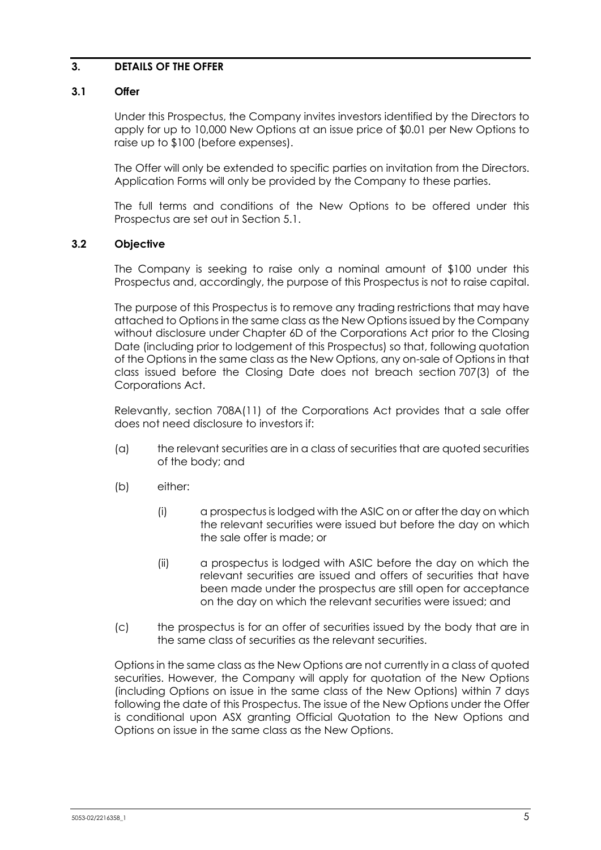## **3. DETAILS OF THE OFFER**

#### **3.1 Offer**

Under this Prospectus, the Company invites investors identified by the Directors to apply for up to 10,000 New Options at an issue price of \$0.01 per New Options to raise up to \$100 (before expenses).

The Offer will only be extended to specific parties on invitation from the Directors. Application Forms will only be provided by the Company to these parties.

The full terms and conditions of the New Options to be offered under this Prospectus are set out in Section [5.1.](#page-10-0)

## **3.2 Objective**

The Company is seeking to raise only a nominal amount of \$100 under this Prospectus and, accordingly, the purpose of this Prospectus is not to raise capital.

The purpose of this Prospectus is to remove any trading restrictions that may have attached to Options in the same class as the New Options issued by the Company without disclosure under Chapter 6D of the Corporations Act prior to the Closing Date (including prior to lodgement of this Prospectus) so that, following quotation of the Options in the same class as the New Options, any on-sale of Options in that class issued before the Closing Date does not breach section 707(3) of the Corporations Act.

Relevantly, section 708A(11) of the Corporations Act provides that a sale offer does not need disclosure to investors if:

- (a) the relevant securities are in a class of securities that are quoted securities of the body; and
- (b) either:
	- (i) a prospectus is lodged with the ASIC on or after the day on which the relevant securities were issued but before the day on which the sale offer is made; or
	- (ii) a prospectus is lodged with ASIC before the day on which the relevant securities are issued and offers of securities that have been made under the prospectus are still open for acceptance on the day on which the relevant securities were issued; and
- (c) the prospectus is for an offer of securities issued by the body that are in the same class of securities as the relevant securities.

Options in the same class as the New Options are not currently in a class of quoted securities. However, the Company will apply for quotation of the New Options (including Options on issue in the same class of the New Options) within 7 days following the date of this Prospectus. The issue of the New Options under the Offer is conditional upon ASX granting Official Quotation to the New Options and Options on issue in the same class as the New Options.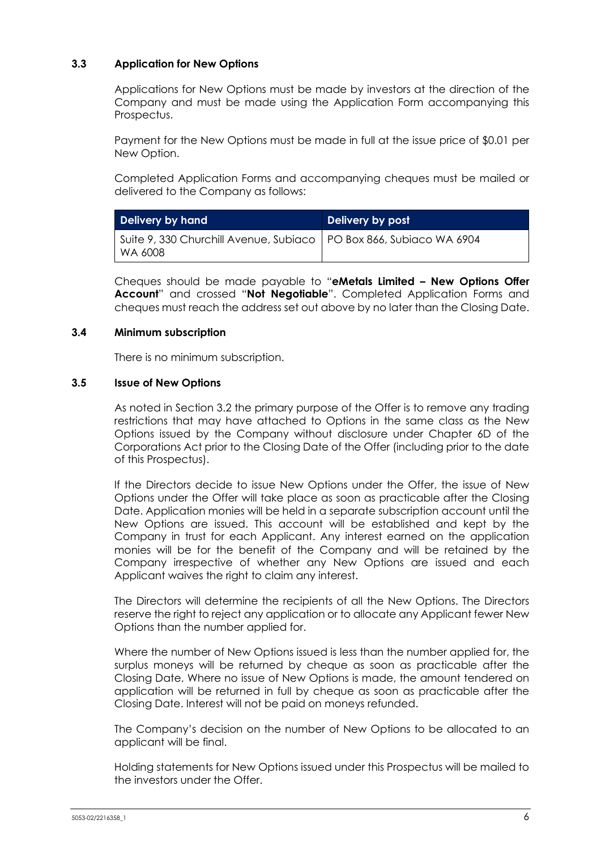## **3.3 Application for New Options**

Applications for New Options must be made by investors at the direction of the Company and must be made using the Application Form accompanying this Prospectus.

Payment for the New Options must be made in full at the issue price of \$0.01 per New Option.

Completed Application Forms and accompanying cheques must be mailed or delivered to the Company as follows:

| <b>Delivery by hand</b>                                                           | Delivery by post |  |
|-----------------------------------------------------------------------------------|------------------|--|
| Suite 9, 330 Churchill Avenue, Subiaco   PO Box 866, Subiaco WA 6904<br>  WA 6008 |                  |  |

Cheques should be made payable to "**eMetals Limited – New Options Offer Account**" and crossed "**Not Negotiable**". Completed Application Forms and cheques must reach the address set out above by no later than the Closing Date.

#### **3.4 Minimum subscription**

There is no minimum subscription.

#### **3.5 Issue of New Options**

As noted in Section 3.2 the primary purpose of the Offer is to remove any trading restrictions that may have attached to Options in the same class as the New Options issued by the Company without disclosure under Chapter 6D of the Corporations Act prior to the Closing Date of the Offer (including prior to the date of this Prospectus).

If the Directors decide to issue New Options under the Offer, the issue of New Options under the Offer will take place as soon as practicable after the Closing Date. Application monies will be held in a separate subscription account until the New Options are issued. This account will be established and kept by the Company in trust for each Applicant. Any interest earned on the application monies will be for the benefit of the Company and will be retained by the Company irrespective of whether any New Options are issued and each Applicant waives the right to claim any interest.

The Directors will determine the recipients of all the New Options. The Directors reserve the right to reject any application or to allocate any Applicant fewer New Options than the number applied for.

Where the number of New Options issued is less than the number applied for, the surplus moneys will be returned by cheque as soon as practicable after the Closing Date. Where no issue of New Options is made, the amount tendered on application will be returned in full by cheque as soon as practicable after the Closing Date. Interest will not be paid on moneys refunded.

The Company's decision on the number of New Options to be allocated to an applicant will be final.

Holding statements for New Options issued under this Prospectus will be mailed to the investors under the Offer.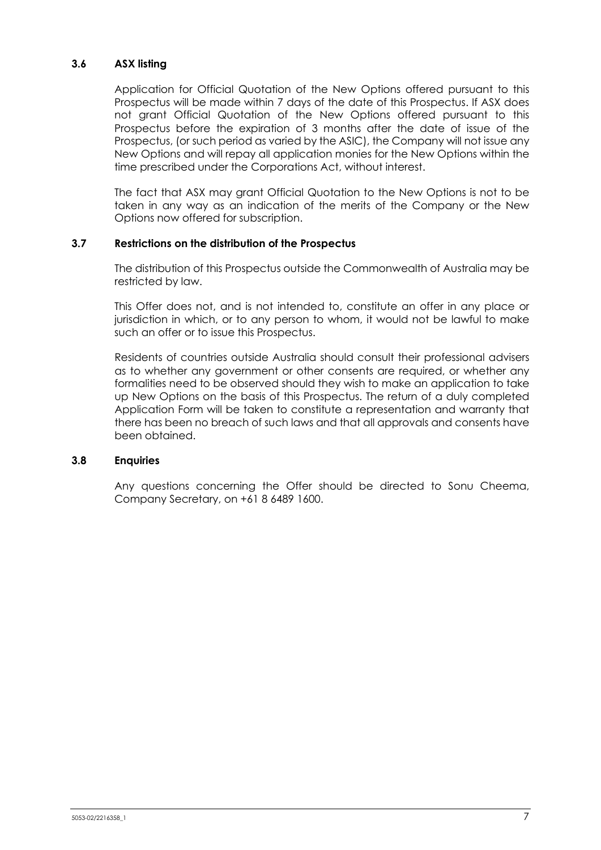## **3.6 ASX listing**

Application for Official Quotation of the New Options offered pursuant to this Prospectus will be made within 7 days of the date of this Prospectus. If ASX does not grant Official Quotation of the New Options offered pursuant to this Prospectus before the expiration of 3 months after the date of issue of the Prospectus, (or such period as varied by the ASIC), the Company will not issue any New Options and will repay all application monies for the New Options within the time prescribed under the Corporations Act, without interest.

The fact that ASX may grant Official Quotation to the New Options is not to be taken in any way as an indication of the merits of the Company or the New Options now offered for subscription.

#### **3.7 Restrictions on the distribution of the Prospectus**

The distribution of this Prospectus outside the Commonwealth of Australia may be restricted by law.

This Offer does not, and is not intended to, constitute an offer in any place or jurisdiction in which, or to any person to whom, it would not be lawful to make such an offer or to issue this Prospectus.

Residents of countries outside Australia should consult their professional advisers as to whether any government or other consents are required, or whether any formalities need to be observed should they wish to make an application to take up New Options on the basis of this Prospectus. The return of a duly completed Application Form will be taken to constitute a representation and warranty that there has been no breach of such laws and that all approvals and consents have been obtained.

#### **3.8 Enquiries**

Any questions concerning the Offer should be directed to Sonu Cheema, Company Secretary, on +61 8 6489 1600.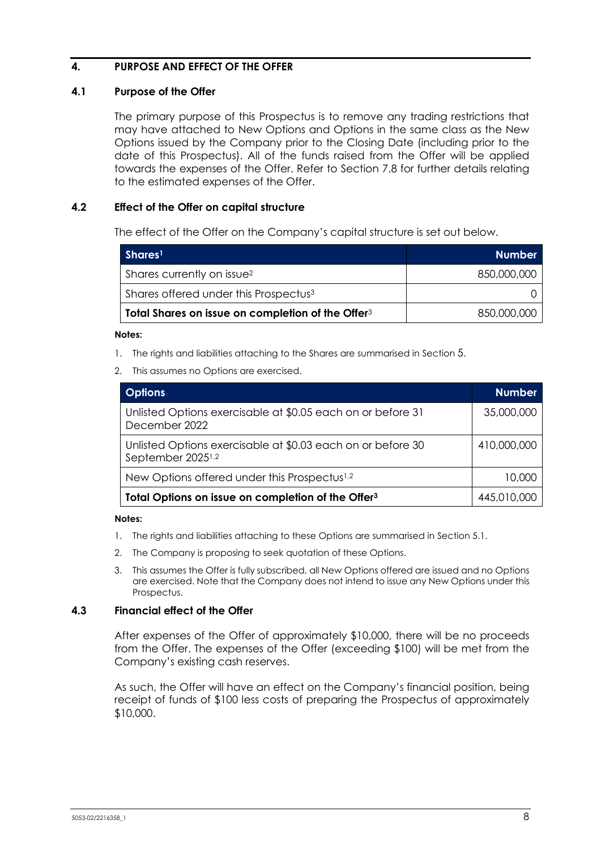# **4. PURPOSE AND EFFECT OF THE OFFER**

#### **4.1 Purpose of the Offer**

The primary purpose of this Prospectus is to remove any trading restrictions that may have attached to New Options and Options in the same class as the New Options issued by the Company prior to the Closing Date (including prior to the date of this Prospectus). All of the funds raised from the Offer will be applied towards the expenses of the Offer. Refer to Section [7.8](#page-30-0) for further details relating to the estimated expenses of the Offer.

## **4.2 Effect of the Offer on capital structure**

The effect of the Offer on the Company's capital structure is set out below.

| Shares <sup>1</sup>                                           | <b>Number</b> |
|---------------------------------------------------------------|---------------|
| Shares currently on issue <sup>2</sup>                        | 850,000,000   |
| Shares offered under this Prospectus <sup>3</sup>             |               |
| Total Shares on issue on completion of the Offer <sup>3</sup> | 850,000,000   |

#### **Notes:**

- 1. The rights and liabilities attaching to the Shares are summarised in Section [5.](#page-10-1)
- 2. This assumes no Options are exercised.

| <b>Options</b>                                                                               | <b>Number</b> |
|----------------------------------------------------------------------------------------------|---------------|
| Unlisted Options exercisable at \$0.05 each on or before 31<br>December 2022                 | 35,000,000    |
| Unlisted Options exercisable at \$0.03 each on or before 30<br>September 2025 <sup>1,2</sup> | 410,000,000   |
| New Options offered under this Prospectus <sup>1,2</sup>                                     | 10,000        |
| Total Options on issue on completion of the Offer <sup>3</sup>                               | 445,010,000   |

#### **Notes:**

- 1. The rights and liabilities attaching to these Options are summarised in Section [5.1.](#page-10-0)
- 2. The Company is proposing to seek quotation of these Options.
- 3. This assumes the Offer is fully subscribed, all New Options offered are issued and no Options are exercised. Note that the Company does not intend to issue any New Options under this Prospectus.

#### **4.3 Financial effect of the Offer**

After expenses of the Offer of approximately \$10,000, there will be no proceeds from the Offer. The expenses of the Offer (exceeding \$100) will be met from the Company's existing cash reserves.

As such, the Offer will have an effect on the Company's financial position, being receipt of funds of \$100 less costs of preparing the Prospectus of approximately \$10,000.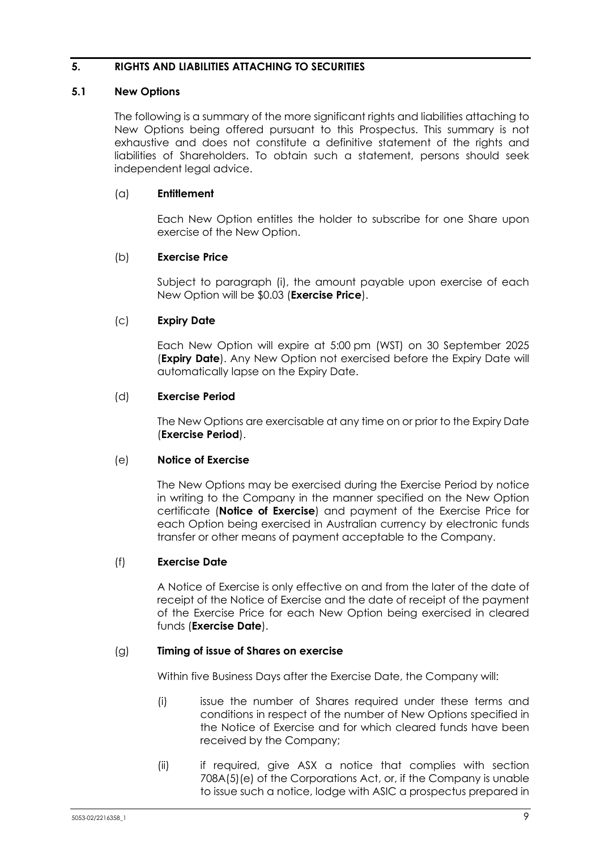## <span id="page-10-1"></span>**5. RIGHTS AND LIABILITIES ATTACHING TO SECURITIES**

## **5.1 New Options**

<span id="page-10-0"></span>The following is a summary of the more significant rights and liabilities attaching to New Options being offered pursuant to this Prospectus. This summary is not exhaustive and does not constitute a definitive statement of the rights and liabilities of Shareholders. To obtain such a statement, persons should seek independent legal advice.

## (a) **Entitlement**

Each New Option entitles the holder to subscribe for one Share upon exercise of the New Option.

## (b) **Exercise Price**

Subject to paragraph [\(i\),](#page-11-0) the amount payable upon exercise of each New Option will be \$0.03 (**Exercise Price**).

## (c) **Expiry Date**

Each New Option will expire at 5:00 pm (WST) on 30 September 2025 (**Expiry Date**). Any New Option not exercised before the Expiry Date will automatically lapse on the Expiry Date.

## (d) **Exercise Period**

The New Options are exercisable at any time on or prior to the Expiry Date (**Exercise Period**).

#### (e) **Notice of Exercise**

The New Options may be exercised during the Exercise Period by notice in writing to the Company in the manner specified on the New Option certificate (**Notice of Exercise**) and payment of the Exercise Price for each Option being exercised in Australian currency by electronic funds transfer or other means of payment acceptable to the Company.

#### (f) **Exercise Date**

A Notice of Exercise is only effective on and from the later of the date of receipt of the Notice of Exercise and the date of receipt of the payment of the Exercise Price for each New Option being exercised in cleared funds (**Exercise Date**).

#### <span id="page-10-2"></span>(g) **Timing of issue of Shares on exercise**

Within five Business Days after the Exercise Date, the Company will:

- (i) issue the number of Shares required under these terms and conditions in respect of the number of New Options specified in the Notice of Exercise and for which cleared funds have been received by the Company;
- <span id="page-10-3"></span>(ii) if required, give ASX a notice that complies with section 708A(5)(e) of the Corporations Act, or, if the Company is unable to issue such a notice, lodge with ASIC a prospectus prepared in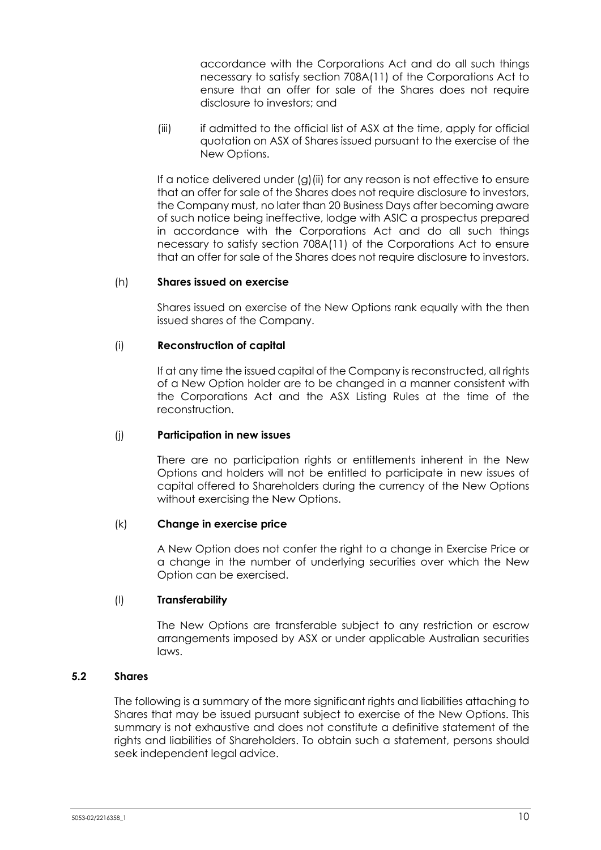accordance with the Corporations Act and do all such things necessary to satisfy section 708A(11) of the Corporations Act to ensure that an offer for sale of the Shares does not require disclosure to investors; and

(iii) if admitted to the official list of ASX at the time, apply for official quotation on ASX of Shares issued pursuant to the exercise of the New Options.

If a notice delivered under [\(g\)](#page-10-2)[\(ii\)](#page-10-3) for any reason is not effective to ensure that an offer for sale of the Shares does not require disclosure to investors, the Company must, no later than 20 Business Days after becoming aware of such notice being ineffective, lodge with ASIC a prospectus prepared in accordance with the Corporations Act and do all such things necessary to satisfy section 708A(11) of the Corporations Act to ensure that an offer for sale of the Shares does not require disclosure to investors.

#### (h) **Shares issued on exercise**

Shares issued on exercise of the New Options rank equally with the then issued shares of the Company.

#### <span id="page-11-0"></span>(i) **Reconstruction of capital**

If at any time the issued capital of the Company is reconstructed, all rights of a New Option holder are to be changed in a manner consistent with the Corporations Act and the ASX Listing Rules at the time of the reconstruction.

#### (j) **Participation in new issues**

There are no participation rights or entitlements inherent in the New Options and holders will not be entitled to participate in new issues of capital offered to Shareholders during the currency of the New Options without exercising the New Options.

#### (k) **Change in exercise price**

A New Option does not confer the right to a change in Exercise Price or a change in the number of underlying securities over which the New Option can be exercised.

#### (l) **Transferability**

The New Options are transferable subject to any restriction or escrow arrangements imposed by ASX or under applicable Australian securities laws.

#### **5.2 Shares**

The following is a summary of the more significant rights and liabilities attaching to Shares that may be issued pursuant subject to exercise of the New Options. This summary is not exhaustive and does not constitute a definitive statement of the rights and liabilities of Shareholders. To obtain such a statement, persons should seek independent legal advice.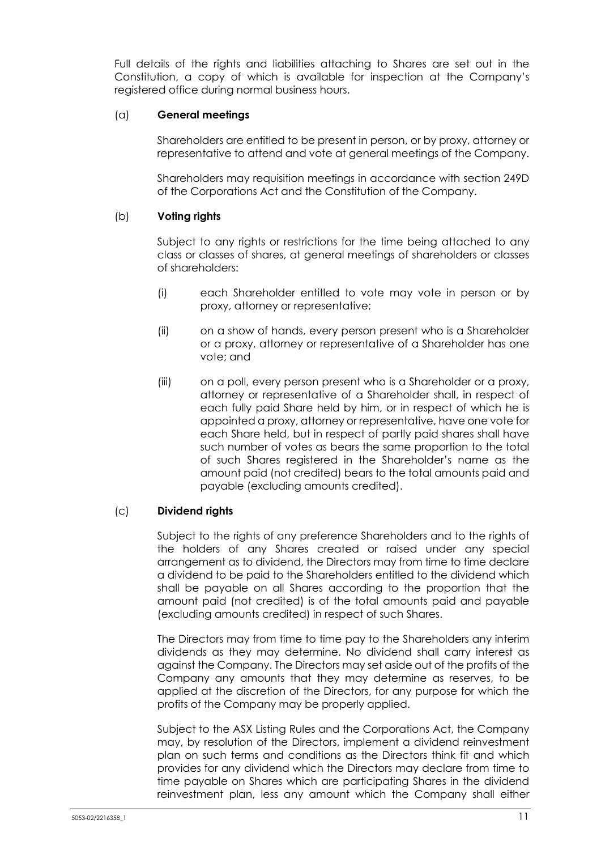Full details of the rights and liabilities attaching to Shares are set out in the Constitution, a copy of which is available for inspection at the Company's registered office during normal business hours.

## (a) **General meetings**

Shareholders are entitled to be present in person, or by proxy, attorney or representative to attend and vote at general meetings of the Company.

Shareholders may requisition meetings in accordance with section 249D of the Corporations Act and the Constitution of the Company.

# (b) **Voting rights**

Subject to any rights or restrictions for the time being attached to any class or classes of shares, at general meetings of shareholders or classes of shareholders:

- (i) each Shareholder entitled to vote may vote in person or by proxy, attorney or representative;
- (ii) on a show of hands, every person present who is a Shareholder or a proxy, attorney or representative of a Shareholder has one vote; and
- (iii) on a poll, every person present who is a Shareholder or a proxy, attorney or representative of a Shareholder shall, in respect of each fully paid Share held by him, or in respect of which he is appointed a proxy, attorney or representative, have one vote for each Share held, but in respect of partly paid shares shall have such number of votes as bears the same proportion to the total of such Shares registered in the Shareholder's name as the amount paid (not credited) bears to the total amounts paid and payable (excluding amounts credited).

# (c) **Dividend rights**

Subject to the rights of any preference Shareholders and to the rights of the holders of any Shares created or raised under any special arrangement as to dividend, the Directors may from time to time declare a dividend to be paid to the Shareholders entitled to the dividend which shall be payable on all Shares according to the proportion that the amount paid (not credited) is of the total amounts paid and payable (excluding amounts credited) in respect of such Shares.

The Directors may from time to time pay to the Shareholders any interim dividends as they may determine. No dividend shall carry interest as against the Company. The Directors may set aside out of the profits of the Company any amounts that they may determine as reserves, to be applied at the discretion of the Directors, for any purpose for which the profits of the Company may be properly applied.

Subject to the ASX Listing Rules and the Corporations Act, the Company may, by resolution of the Directors, implement a dividend reinvestment plan on such terms and conditions as the Directors think fit and which provides for any dividend which the Directors may declare from time to time payable on Shares which are participating Shares in the dividend reinvestment plan, less any amount which the Company shall either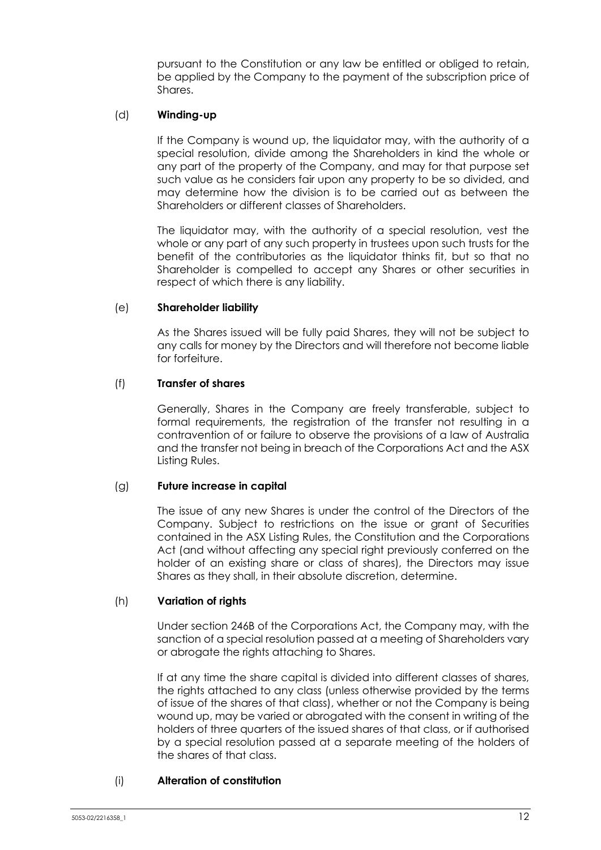pursuant to the Constitution or any law be entitled or obliged to retain, be applied by the Company to the payment of the subscription price of Shares.

#### (d) **Winding-up**

If the Company is wound up, the liquidator may, with the authority of a special resolution, divide among the Shareholders in kind the whole or any part of the property of the Company, and may for that purpose set such value as he considers fair upon any property to be so divided, and may determine how the division is to be carried out as between the Shareholders or different classes of Shareholders.

The liquidator may, with the authority of a special resolution, vest the whole or any part of any such property in trustees upon such trusts for the benefit of the contributories as the liquidator thinks fit, but so that no Shareholder is compelled to accept any Shares or other securities in respect of which there is any liability.

#### (e) **Shareholder liability**

As the Shares issued will be fully paid Shares, they will not be subject to any calls for money by the Directors and will therefore not become liable for forfeiture.

#### (f) **Transfer of shares**

Generally, Shares in the Company are freely transferable, subject to formal requirements, the registration of the transfer not resulting in a contravention of or failure to observe the provisions of a law of Australia and the transfer not being in breach of the Corporations Act and the ASX Listing Rules.

#### (g) **Future increase in capital**

The issue of any new Shares is under the control of the Directors of the Company. Subject to restrictions on the issue or grant of Securities contained in the ASX Listing Rules, the Constitution and the Corporations Act (and without affecting any special right previously conferred on the holder of an existing share or class of shares), the Directors may issue Shares as they shall, in their absolute discretion, determine.

#### (h) **Variation of rights**

Under section 246B of the Corporations Act, the Company may, with the sanction of a special resolution passed at a meeting of Shareholders vary or abrogate the rights attaching to Shares.

If at any time the share capital is divided into different classes of shares, the rights attached to any class (unless otherwise provided by the terms of issue of the shares of that class), whether or not the Company is being wound up, may be varied or abrogated with the consent in writing of the holders of three quarters of the issued shares of that class, or if authorised by a special resolution passed at a separate meeting of the holders of the shares of that class.

#### (i) **Alteration of constitution**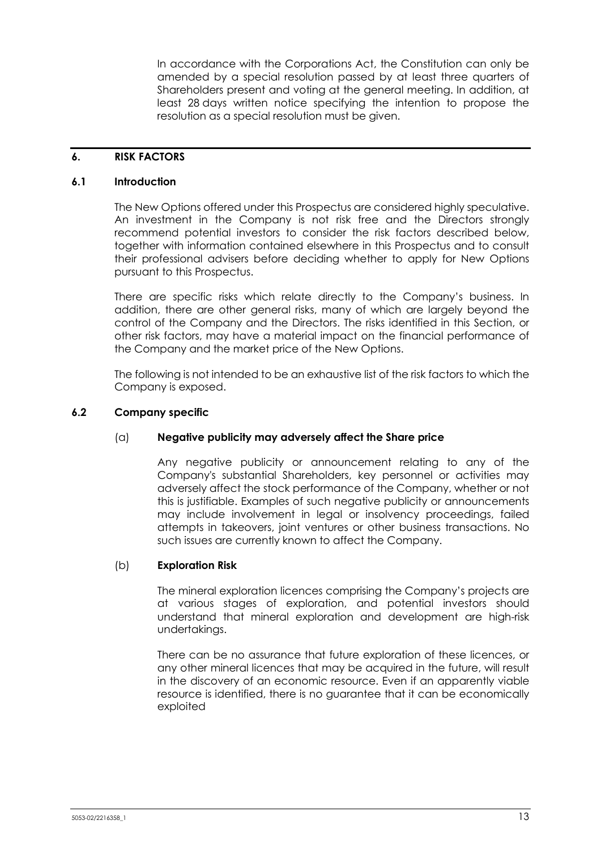In accordance with the Corporations Act, the Constitution can only be amended by a special resolution passed by at least three quarters of Shareholders present and voting at the general meeting. In addition, at least 28 days written notice specifying the intention to propose the resolution as a special resolution must be given.

#### <span id="page-14-0"></span>**6. RISK FACTORS**

#### **6.1 Introduction**

The New Options offered under this Prospectus are considered highly speculative. An investment in the Company is not risk free and the Directors strongly recommend potential investors to consider the risk factors described below, together with information contained elsewhere in this Prospectus and to consult their professional advisers before deciding whether to apply for New Options pursuant to this Prospectus.

There are specific risks which relate directly to the Company's business. In addition, there are other general risks, many of which are largely beyond the control of the Company and the Directors. The risks identified in this Section, or other risk factors, may have a material impact on the financial performance of the Company and the market price of the New Options.

The following is not intended to be an exhaustive list of the risk factors to which the Company is exposed.

#### **6.2 Company specific**

#### (a) **Negative publicity may adversely affect the Share price**

Any negative publicity or announcement relating to any of the Company's substantial Shareholders, key personnel or activities may adversely affect the stock performance of the Company, whether or not this is justifiable. Examples of such negative publicity or announcements may include involvement in legal or insolvency proceedings, failed attempts in takeovers, joint ventures or other business transactions. No such issues are currently known to affect the Company.

#### (b) **Exploration Risk**

The mineral exploration licences comprising the Company's projects are at various stages of exploration, and potential investors should understand that mineral exploration and development are high-risk undertakings.

There can be no assurance that future exploration of these licences, or any other mineral licences that may be acquired in the future, will result in the discovery of an economic resource. Even if an apparently viable resource is identified, there is no guarantee that it can be economically exploited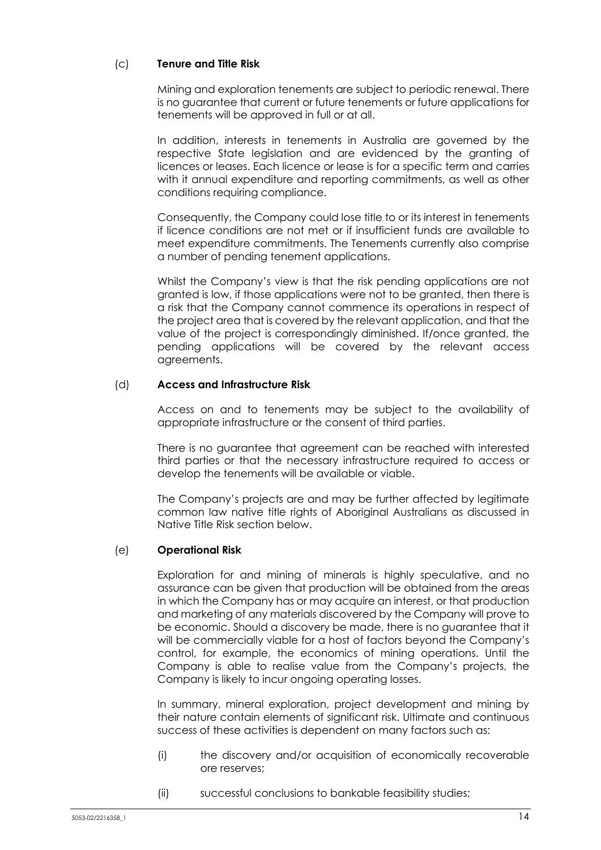# (c) **Tenure and Title Risk**

Mining and exploration tenements are subject to periodic renewal. There is no guarantee that current or future tenements or future applications for tenements will be approved in full or at all.

In addition, interests in tenements in Australia are governed by the respective State legislation and are evidenced by the granting of licences or leases. Each licence or lease is for a specific term and carries with it annual expenditure and reporting commitments, as well as other conditions requiring compliance.

Consequently, the Company could lose title to or its interest in tenements if licence conditions are not met or if insufficient funds are available to meet expenditure commitments. The Tenements currently also comprise a number of pending tenement applications.

Whilst the Company's view is that the risk pending applications are not granted is low, if those applications were not to be granted, then there is a risk that the Company cannot commence its operations in respect of the project area that is covered by the relevant application, and that the value of the project is correspondingly diminished. If/once granted, the pending applications will be covered by the relevant access agreements.

#### (d) **Access and Infrastructure Risk**

Access on and to tenements may be subject to the availability of appropriate infrastructure or the consent of third parties.

There is no guarantee that agreement can be reached with interested third parties or that the necessary infrastructure required to access or develop the tenements will be available or viable.

The Company's projects are and may be further affected by legitimate common law native title rights of Aboriginal Australians as discussed in Native Title Risk section below.

#### (e) **Operational Risk**

Exploration for and mining of minerals is highly speculative, and no assurance can be given that production will be obtained from the areas in which the Company has or may acquire an interest, or that production and marketing of any materials discovered by the Company will prove to be economic. Should a discovery be made, there is no guarantee that it will be commercially viable for a host of factors beyond the Company's control, for example, the economics of mining operations. Until the Company is able to realise value from the Company's projects, the Company is likely to incur ongoing operating losses.

In summary, mineral exploration, project development and mining by their nature contain elements of significant risk. Ultimate and continuous success of these activities is dependent on many factors such as:

- (i) the discovery and/or acquisition of economically recoverable ore reserves;
- (ii) successful conclusions to bankable feasibility studies;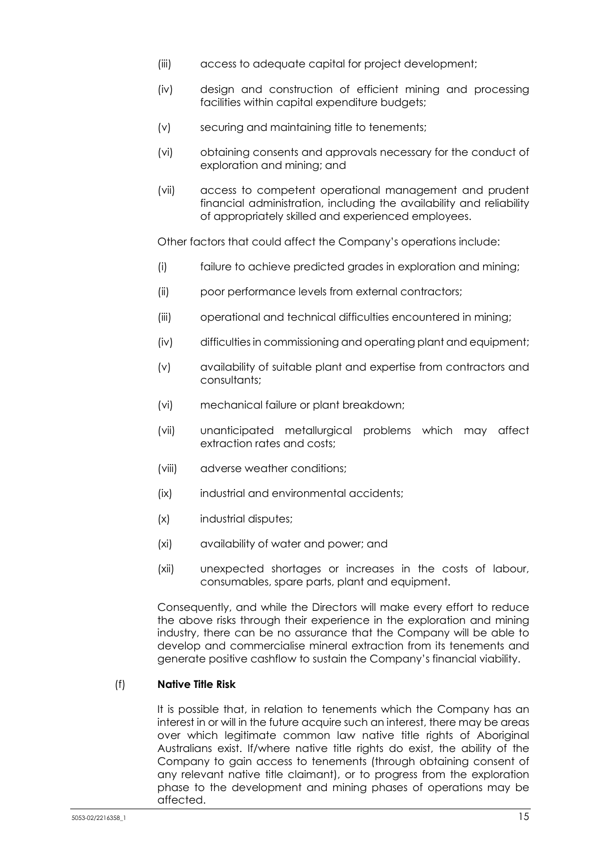- (iii) access to adequate capital for project development;
- (iv) design and construction of efficient mining and processing facilities within capital expenditure budgets;
- (v) securing and maintaining title to tenements;
- (vi) obtaining consents and approvals necessary for the conduct of exploration and mining; and
- (vii) access to competent operational management and prudent financial administration, including the availability and reliability of appropriately skilled and experienced employees.

Other factors that could affect the Company's operations include:

- (i) failure to achieve predicted grades in exploration and mining;
- (ii) poor performance levels from external contractors;
- (iii) operational and technical difficulties encountered in mining;
- (iv) difficulties in commissioning and operating plant and equipment;
- (v) availability of suitable plant and expertise from contractors and consultants;
- (vi) mechanical failure or plant breakdown;
- (vii) unanticipated metallurgical problems which may affect extraction rates and costs;
- (viii) adverse weather conditions;
- (ix) industrial and environmental accidents;
- (x) industrial disputes;
- (xi) availability of water and power; and
- (xii) unexpected shortages or increases in the costs of labour, consumables, spare parts, plant and equipment.

Consequently, and while the Directors will make every effort to reduce the above risks through their experience in the exploration and mining industry, there can be no assurance that the Company will be able to develop and commercialise mineral extraction from its tenements and generate positive cashflow to sustain the Company's financial viability.

## (f) **Native Title Risk**

It is possible that, in relation to tenements which the Company has an interest in or will in the future acquire such an interest, there may be areas over which legitimate common law native title rights of Aboriginal Australians exist. If/where native title rights do exist, the ability of the Company to gain access to tenements (through obtaining consent of any relevant native title claimant), or to progress from the exploration phase to the development and mining phases of operations may be affected.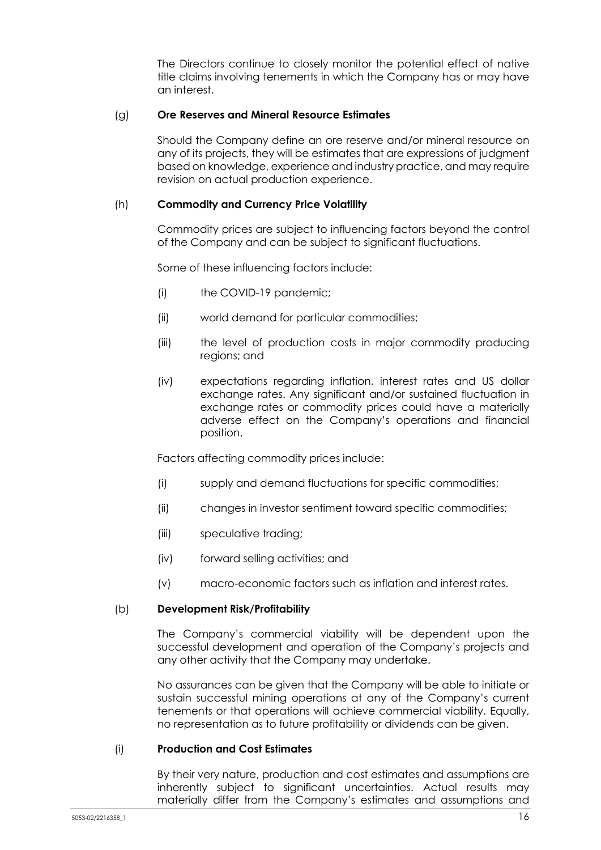The Directors continue to closely monitor the potential effect of native title claims involving tenements in which the Company has or may have an interest.

#### (g) **Ore Reserves and Mineral Resource Estimates**

Should the Company define an ore reserve and/or mineral resource on any of its projects, they will be estimates that are expressions of judgment based on knowledge, experience and industry practice, and may require revision on actual production experience.

#### (h) **Commodity and Currency Price Volatility**

Commodity prices are subject to influencing factors beyond the control of the Company and can be subject to significant fluctuations.

Some of these influencing factors include:

- (i) the COVID-19 pandemic;
- (ii) world demand for particular commodities;
- (iii) the level of production costs in major commodity producing regions; and
- (iv) expectations regarding inflation, interest rates and US dollar exchange rates. Any significant and/or sustained fluctuation in exchange rates or commodity prices could have a materially adverse effect on the Company's operations and financial position.

Factors affecting commodity prices include:

- (i) supply and demand fluctuations for specific commodities;
- (ii) changes in investor sentiment toward specific commodities;
- (iii) speculative trading;
- (iv) forward selling activities; and
- (v) macro-economic factors such as inflation and interest rates.

#### (b) **Development Risk/Profitability**

The Company's commercial viability will be dependent upon the successful development and operation of the Company's projects and any other activity that the Company may undertake.

No assurances can be given that the Company will be able to initiate or sustain successful mining operations at any of the Company's current tenements or that operations will achieve commercial viability. Equally, no representation as to future profitability or dividends can be given.

## (i) **Production and Cost Estimates**

By their very nature, production and cost estimates and assumptions are inherently subject to significant uncertainties. Actual results may materially differ from the Company's estimates and assumptions and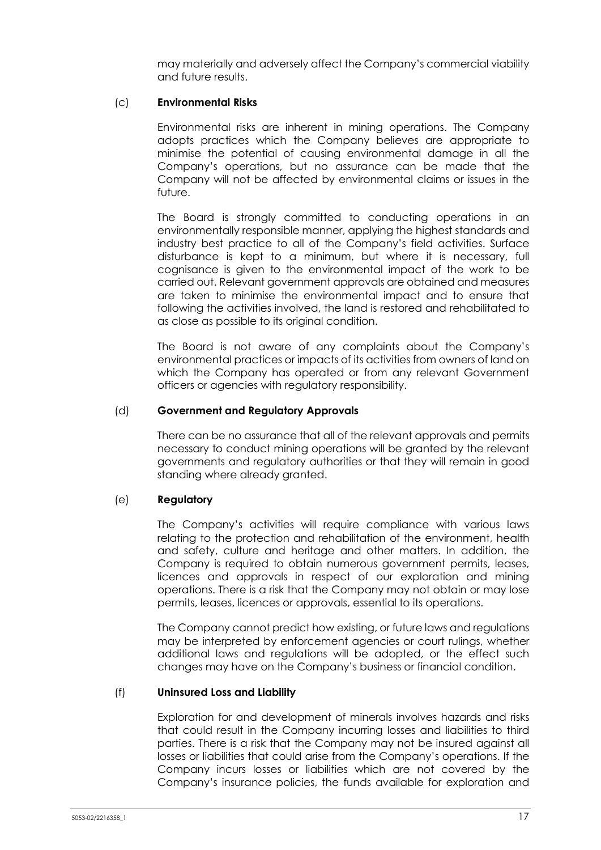may materially and adversely affect the Company's commercial viability and future results.

#### (c) **Environmental Risks**

Environmental risks are inherent in mining operations. The Company adopts practices which the Company believes are appropriate to minimise the potential of causing environmental damage in all the Company's operations, but no assurance can be made that the Company will not be affected by environmental claims or issues in the future.

The Board is strongly committed to conducting operations in an environmentally responsible manner, applying the highest standards and industry best practice to all of the Company's field activities. Surface disturbance is kept to a minimum, but where it is necessary, full cognisance is given to the environmental impact of the work to be carried out. Relevant government approvals are obtained and measures are taken to minimise the environmental impact and to ensure that following the activities involved, the land is restored and rehabilitated to as close as possible to its original condition.

The Board is not aware of any complaints about the Company's environmental practices or impacts of its activities from owners of land on which the Company has operated or from any relevant Government officers or agencies with regulatory responsibility.

#### (d) **Government and Regulatory Approvals**

There can be no assurance that all of the relevant approvals and permits necessary to conduct mining operations will be granted by the relevant governments and regulatory authorities or that they will remain in good standing where already granted.

#### (e) **Regulatory**

The Company's activities will require compliance with various laws relating to the protection and rehabilitation of the environment, health and safety, culture and heritage and other matters. In addition, the Company is required to obtain numerous government permits, leases, licences and approvals in respect of our exploration and mining operations. There is a risk that the Company may not obtain or may lose permits, leases, licences or approvals, essential to its operations.

The Company cannot predict how existing, or future laws and regulations may be interpreted by enforcement agencies or court rulings, whether additional laws and regulations will be adopted, or the effect such changes may have on the Company's business or financial condition.

#### (f) **Uninsured Loss and Liability**

Exploration for and development of minerals involves hazards and risks that could result in the Company incurring losses and liabilities to third parties. There is a risk that the Company may not be insured against all losses or liabilities that could arise from the Company's operations. If the Company incurs losses or liabilities which are not covered by the Company's insurance policies, the funds available for exploration and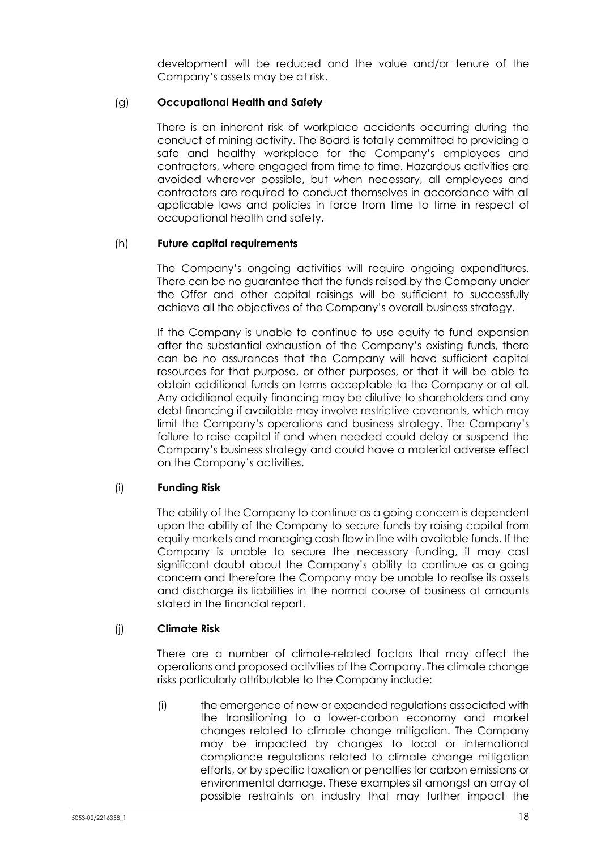development will be reduced and the value and/or tenure of the Company's assets may be at risk.

# (g) **Occupational Health and Safety**

There is an inherent risk of workplace accidents occurring during the conduct of mining activity. The Board is totally committed to providing a safe and healthy workplace for the Company's employees and contractors, where engaged from time to time. Hazardous activities are avoided wherever possible, but when necessary, all employees and contractors are required to conduct themselves in accordance with all applicable laws and policies in force from time to time in respect of occupational health and safety.

#### (h) **Future capital requirements**

The Company's ongoing activities will require ongoing expenditures. There can be no guarantee that the funds raised by the Company under the Offer and other capital raisings will be sufficient to successfully achieve all the objectives of the Company's overall business strategy.

If the Company is unable to continue to use equity to fund expansion after the substantial exhaustion of the Company's existing funds, there can be no assurances that the Company will have sufficient capital resources for that purpose, or other purposes, or that it will be able to obtain additional funds on terms acceptable to the Company or at all. Any additional equity financing may be dilutive to shareholders and any debt financing if available may involve restrictive covenants, which may limit the Company's operations and business strategy. The Company's failure to raise capital if and when needed could delay or suspend the Company's business strategy and could have a material adverse effect on the Company's activities.

# (i) **Funding Risk**

The ability of the Company to continue as a going concern is dependent upon the ability of the Company to secure funds by raising capital from equity markets and managing cash flow in line with available funds. If the Company is unable to secure the necessary funding, it may cast significant doubt about the Company's ability to continue as a going concern and therefore the Company may be unable to realise its assets and discharge its liabilities in the normal course of business at amounts stated in the financial report.

#### (j) **Climate Risk**

There are a number of climate-related factors that may affect the operations and proposed activities of the Company. The climate change risks particularly attributable to the Company include:

(i) the emergence of new or expanded regulations associated with the transitioning to a lower-carbon economy and market changes related to climate change mitigation. The Company may be impacted by changes to local or international compliance regulations related to climate change mitigation efforts, or by specific taxation or penalties for carbon emissions or environmental damage. These examples sit amongst an array of possible restraints on industry that may further impact the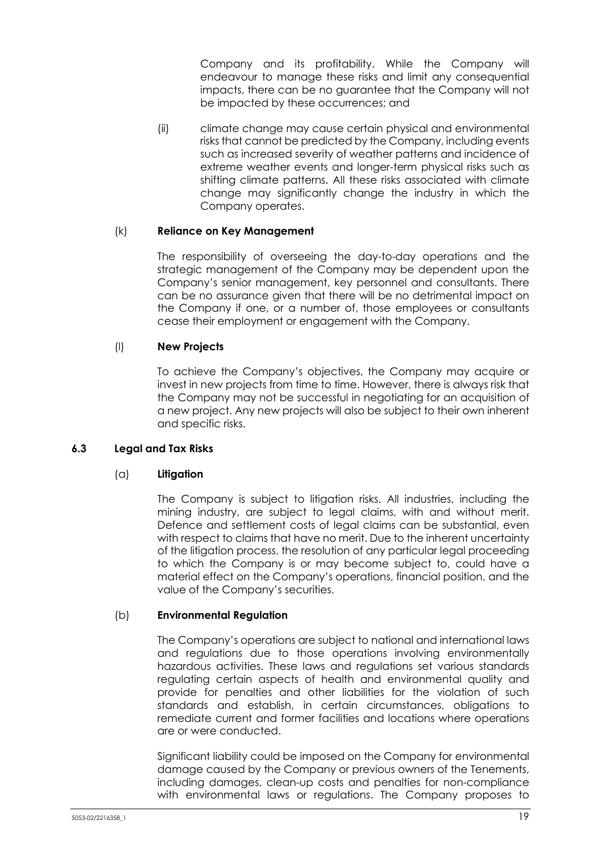Company and its profitability. While the Company will endeavour to manage these risks and limit any consequential impacts, there can be no guarantee that the Company will not be impacted by these occurrences; and

(ii) climate change may cause certain physical and environmental risks that cannot be predicted by the Company, including events such as increased severity of weather patterns and incidence of extreme weather events and longer-term physical risks such as shifting climate patterns. All these risks associated with climate change may significantly change the industry in which the Company operates.

## (k) **Reliance on Key Management**

The responsibility of overseeing the day-to-day operations and the strategic management of the Company may be dependent upon the Company's senior management, key personnel and consultants. There can be no assurance given that there will be no detrimental impact on the Company if one, or a number of, those employees or consultants cease their employment or engagement with the Company.

# (l) **New Projects**

To achieve the Company's objectives, the Company may acquire or invest in new projects from time to time. However, there is always risk that the Company may not be successful in negotiating for an acquisition of a new project. Any new projects will also be subject to their own inherent and specific risks.

# **6.3 Legal and Tax Risks**

# (a) **Litigation**

The Company is subject to litigation risks. All industries, including the mining industry, are subject to legal claims, with and without merit. Defence and settlement costs of legal claims can be substantial, even with respect to claims that have no merit. Due to the inherent uncertainty of the litigation process, the resolution of any particular legal proceeding to which the Company is or may become subject to, could have a material effect on the Company's operations, financial position, and the value of the Company's securities.

# (b) **Environmental Regulation**

The Company's operations are subject to national and international laws and regulations due to those operations involving environmentally hazardous activities. These laws and regulations set various standards regulating certain aspects of health and environmental quality and provide for penalties and other liabilities for the violation of such standards and establish, in certain circumstances, obligations to remediate current and former facilities and locations where operations are or were conducted.

Significant liability could be imposed on the Company for environmental damage caused by the Company or previous owners of the Tenements, including damages, clean-up costs and penalties for non-compliance with environmental laws or regulations. The Company proposes to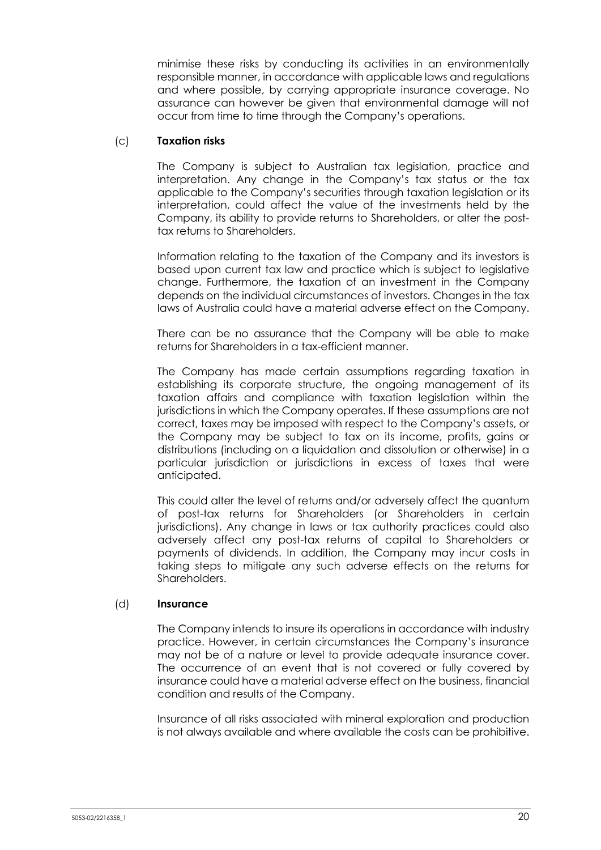minimise these risks by conducting its activities in an environmentally responsible manner, in accordance with applicable laws and regulations and where possible, by carrying appropriate insurance coverage. No assurance can however be given that environmental damage will not occur from time to time through the Company's operations.

## (c) **Taxation risks**

The Company is subject to Australian tax legislation, practice and interpretation. Any change in the Company's tax status or the tax applicable to the Company's securities through taxation legislation or its interpretation, could affect the value of the investments held by the Company, its ability to provide returns to Shareholders, or alter the posttax returns to Shareholders.

Information relating to the taxation of the Company and its investors is based upon current tax law and practice which is subject to legislative change. Furthermore, the taxation of an investment in the Company depends on the individual circumstances of investors. Changes in the tax laws of Australia could have a material adverse effect on the Company.

There can be no assurance that the Company will be able to make returns for Shareholders in a tax-efficient manner.

The Company has made certain assumptions regarding taxation in establishing its corporate structure, the ongoing management of its taxation affairs and compliance with taxation legislation within the jurisdictions in which the Company operates. If these assumptions are not correct, taxes may be imposed with respect to the Company's assets, or the Company may be subject to tax on its income, profits, gains or distributions (including on a liquidation and dissolution or otherwise) in a particular jurisdiction or jurisdictions in excess of taxes that were anticipated.

This could alter the level of returns and/or adversely affect the quantum of post-tax returns for Shareholders (or Shareholders in certain jurisdictions). Any change in laws or tax authority practices could also adversely affect any post-tax returns of capital to Shareholders or payments of dividends. In addition, the Company may incur costs in taking steps to mitigate any such adverse effects on the returns for Shareholders.

#### (d) **Insurance**

The Company intends to insure its operations in accordance with industry practice. However, in certain circumstances the Company's insurance may not be of a nature or level to provide adequate insurance cover. The occurrence of an event that is not covered or fully covered by insurance could have a material adverse effect on the business, financial condition and results of the Company.

Insurance of all risks associated with mineral exploration and production is not always available and where available the costs can be prohibitive.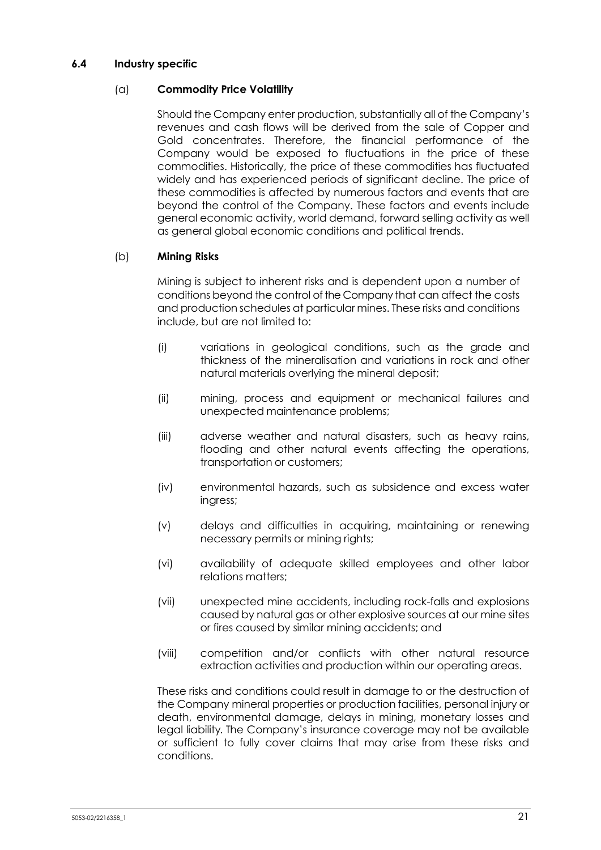#### **6.4 Industry specific**

#### (a) **Commodity Price Volatility**

Should the Company enter production, substantially all of the Company's revenues and cash flows will be derived from the sale of Copper and Gold concentrates. Therefore, the financial performance of the Company would be exposed to fluctuations in the price of these commodities. Historically, the price of these commodities has fluctuated widely and has experienced periods of significant decline. The price of these commodities is affected by numerous factors and events that are beyond the control of the Company. These factors and events include general economic activity, world demand, forward selling activity as well as general global economic conditions and political trends.

#### (b) **Mining Risks**

Mining is subject to inherent risks and is dependent upon a number of conditions beyond the control of the Company that can affect the costs and production schedules at particular mines. These risks and conditions include, but are not limited to:

- (i) variations in geological conditions, such as the grade and thickness of the mineralisation and variations in rock and other natural materials overlying the mineral deposit;
- (ii) mining, process and equipment or mechanical failures and unexpected maintenance problems;
- (iii) adverse weather and natural disasters, such as heavy rains, flooding and other natural events affecting the operations, transportation or customers;
- (iv) environmental hazards, such as subsidence and excess water ingress;
- (v) delays and difficulties in acquiring, maintaining or renewing necessary permits or mining rights;
- (vi) availability of adequate skilled employees and other labor relations matters;
- (vii) unexpected mine accidents, including rock-falls and explosions caused by natural gas or other explosive sources at our mine sites or fires caused by similar mining accidents; and
- (viii) competition and/or conflicts with other natural resource extraction activities and production within our operating areas.

These risks and conditions could result in damage to or the destruction of the Company mineral properties or production facilities, personal injury or death, environmental damage, delays in mining, monetary losses and legal liability. The Company's insurance coverage may not be available or sufficient to fully cover claims that may arise from these risks and conditions.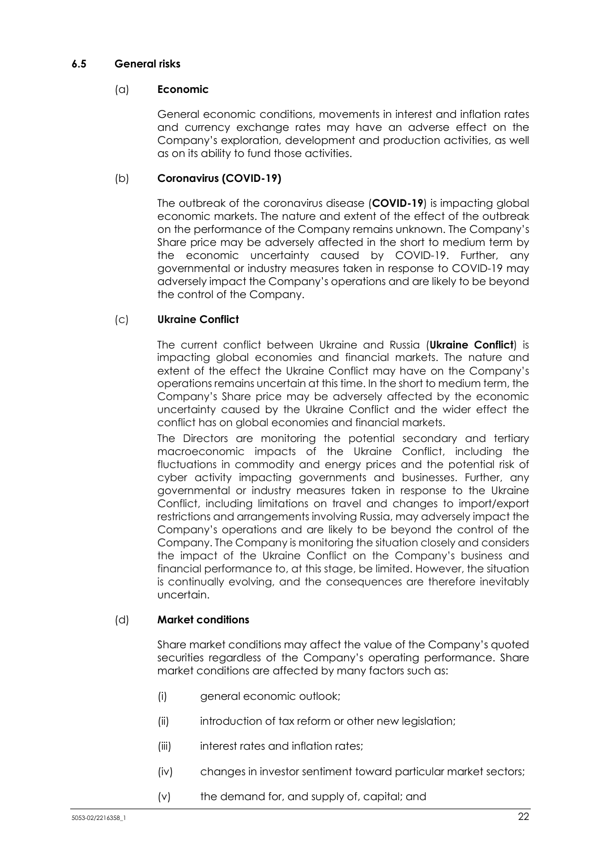#### **6.5 General risks**

#### (a) **Economic**

General economic conditions, movements in interest and inflation rates and currency exchange rates may have an adverse effect on the Company's exploration, development and production activities, as well as on its ability to fund those activities.

#### (b) **Coronavirus (COVID-19)**

The outbreak of the coronavirus disease (**COVID-19**) is impacting global economic markets. The nature and extent of the effect of the outbreak on the performance of the Company remains unknown. The Company's Share price may be adversely affected in the short to medium term by the economic uncertainty caused by COVID-19. Further, any governmental or industry measures taken in response to COVID-19 may adversely impact the Company's operations and are likely to be beyond the control of the Company.

## (c) **Ukraine Conflict**

The current conflict between Ukraine and Russia (**Ukraine Conflict**) is impacting global economies and financial markets. The nature and extent of the effect the Ukraine Conflict may have on the Company's operations remains uncertain at this time. In the short to medium term, the Company's Share price may be adversely affected by the economic uncertainty caused by the Ukraine Conflict and the wider effect the conflict has on global economies and financial markets.

The Directors are monitoring the potential secondary and tertiary macroeconomic impacts of the Ukraine Conflict, including the fluctuations in commodity and energy prices and the potential risk of cyber activity impacting governments and businesses. Further, any governmental or industry measures taken in response to the Ukraine Conflict, including limitations on travel and changes to import/export restrictions and arrangements involving Russia, may adversely impact the Company's operations and are likely to be beyond the control of the Company. The Company is monitoring the situation closely and considers the impact of the Ukraine Conflict on the Company's business and financial performance to, at this stage, be limited. However, the situation is continually evolving, and the consequences are therefore inevitably uncertain.

#### (d) **Market conditions**

Share market conditions may affect the value of the Company's quoted securities regardless of the Company's operating performance. Share market conditions are affected by many factors such as:

- (i) general economic outlook;
- (ii) introduction of tax reform or other new legislation;
- (iii) interest rates and inflation rates;
- (iv) changes in investor sentiment toward particular market sectors;
- (v) the demand for, and supply of, capital; and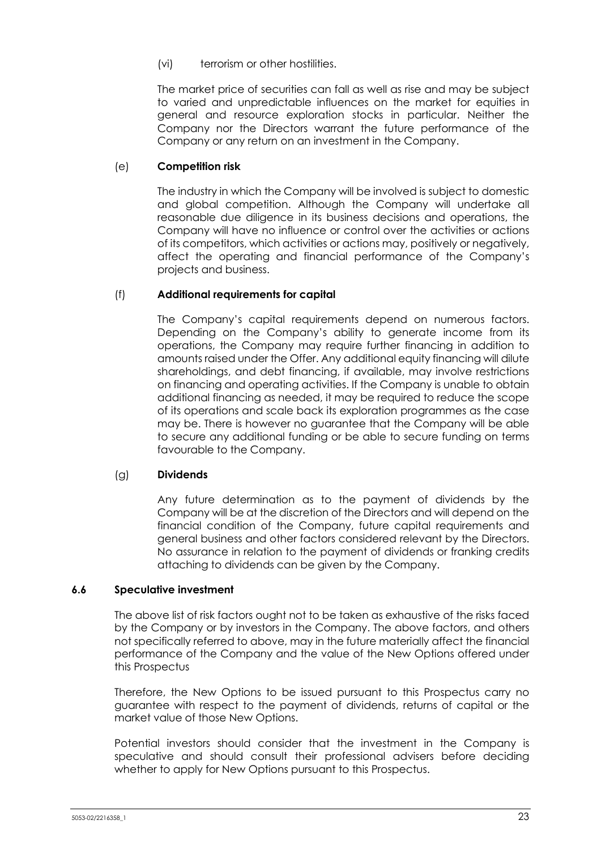(vi) terrorism or other hostilities.

The market price of securities can fall as well as rise and may be subject to varied and unpredictable influences on the market for equities in general and resource exploration stocks in particular. Neither the Company nor the Directors warrant the future performance of the Company or any return on an investment in the Company.

# (e) **Competition risk**

The industry in which the Company will be involved is subject to domestic and global competition. Although the Company will undertake all reasonable due diligence in its business decisions and operations, the Company will have no influence or control over the activities or actions of its competitors, which activities or actions may, positively or negatively, affect the operating and financial performance of the Company's projects and business.

## (f) **Additional requirements for capital**

The Company's capital requirements depend on numerous factors. Depending on the Company's ability to generate income from its operations, the Company may require further financing in addition to amounts raised under the Offer. Any additional equity financing will dilute shareholdings, and debt financing, if available, may involve restrictions on financing and operating activities. If the Company is unable to obtain additional financing as needed, it may be required to reduce the scope of its operations and scale back its exploration programmes as the case may be. There is however no guarantee that the Company will be able to secure any additional funding or be able to secure funding on terms favourable to the Company.

#### (g) **Dividends**

Any future determination as to the payment of dividends by the Company will be at the discretion of the Directors and will depend on the financial condition of the Company, future capital requirements and general business and other factors considered relevant by the Directors. No assurance in relation to the payment of dividends or franking credits attaching to dividends can be given by the Company.

#### **6.6 Speculative investment**

The above list of risk factors ought not to be taken as exhaustive of the risks faced by the Company or by investors in the Company. The above factors, and others not specifically referred to above, may in the future materially affect the financial performance of the Company and the value of the New Options offered under this Prospectus

Therefore, the New Options to be issued pursuant to this Prospectus carry no guarantee with respect to the payment of dividends, returns of capital or the market value of those New Options.

Potential investors should consider that the investment in the Company is speculative and should consult their professional advisers before deciding whether to apply for New Options pursuant to this Prospectus.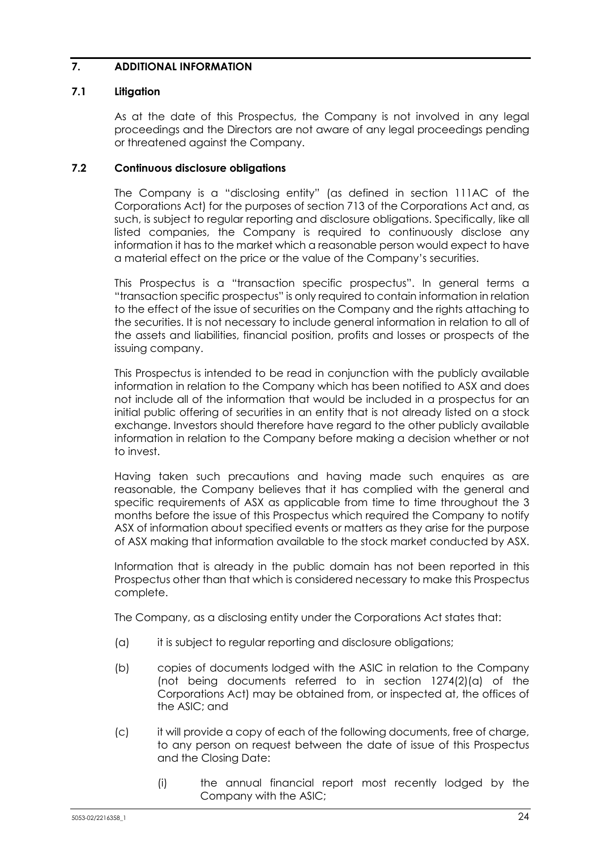# **7. ADDITIONAL INFORMATION**

## **7.1 Litigation**

As at the date of this Prospectus, the Company is not involved in any legal proceedings and the Directors are not aware of any legal proceedings pending or threatened against the Company.

#### **7.2 Continuous disclosure obligations**

The Company is a "disclosing entity" (as defined in section 111AC of the Corporations Act) for the purposes of section 713 of the Corporations Act and, as such, is subject to regular reporting and disclosure obligations. Specifically, like all listed companies, the Company is required to continuously disclose any information it has to the market which a reasonable person would expect to have a material effect on the price or the value of the Company's securities.

This Prospectus is a "transaction specific prospectus". In general terms a "transaction specific prospectus" is only required to contain information in relation to the effect of the issue of securities on the Company and the rights attaching to the securities. It is not necessary to include general information in relation to all of the assets and liabilities, financial position, profits and losses or prospects of the issuing company.

This Prospectus is intended to be read in conjunction with the publicly available information in relation to the Company which has been notified to ASX and does not include all of the information that would be included in a prospectus for an initial public offering of securities in an entity that is not already listed on a stock exchange. Investors should therefore have regard to the other publicly available information in relation to the Company before making a decision whether or not to invest.

Having taken such precautions and having made such enquires as are reasonable, the Company believes that it has complied with the general and specific requirements of ASX as applicable from time to time throughout the 3 months before the issue of this Prospectus which required the Company to notify ASX of information about specified events or matters as they arise for the purpose of ASX making that information available to the stock market conducted by ASX.

Information that is already in the public domain has not been reported in this Prospectus other than that which is considered necessary to make this Prospectus complete.

The Company, as a disclosing entity under the Corporations Act states that:

- (a) it is subject to regular reporting and disclosure obligations;
- (b) copies of documents lodged with the ASIC in relation to the Company (not being documents referred to in section 1274(2)(a) of the Corporations Act) may be obtained from, or inspected at, the offices of the ASIC; and
- (c) it will provide a copy of each of the following documents, free of charge, to any person on request between the date of issue of this Prospectus and the Closing Date:
	- (i) the annual financial report most recently lodged by the Company with the ASIC;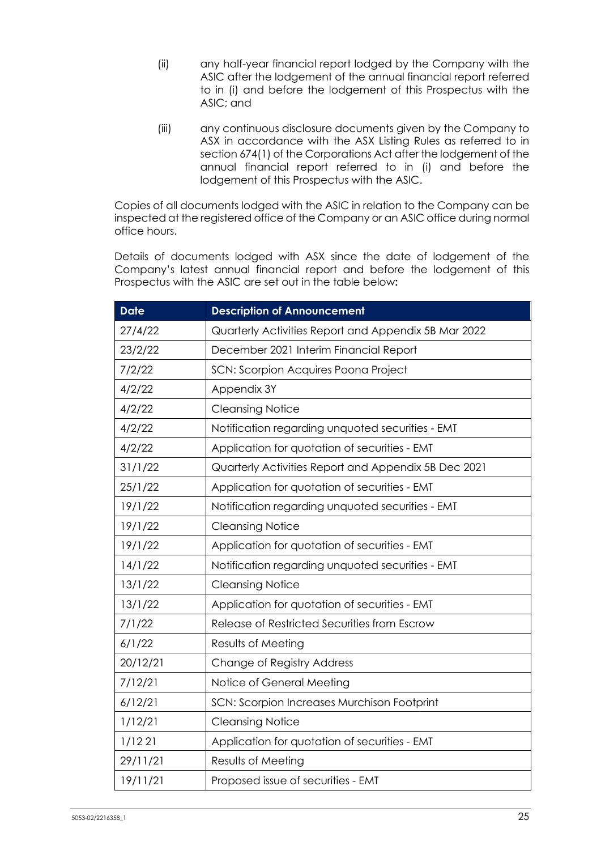- (ii) any half-year financial report lodged by the Company with the ASIC after the lodgement of the annual financial report referred to in (i) and before the lodgement of this Prospectus with the ASIC; and
- (iii) any continuous disclosure documents given by the Company to ASX in accordance with the ASX Listing Rules as referred to in section 674(1) of the Corporations Act after the lodgement of the annual financial report referred to in (i) and before the lodgement of this Prospectus with the ASIC.

Copies of all documents lodged with the ASIC in relation to the Company can be inspected at the registered office of the Company or an ASIC office during normal office hours.

Details of documents lodged with ASX since the date of lodgement of the Company's latest annual financial report and before the lodgement of this Prospectus with the ASIC are set out in the table below**:** 

| <b>Date</b> | <b>Description of Announcement</b>                   |  |  |
|-------------|------------------------------------------------------|--|--|
| 27/4/22     | Quarterly Activities Report and Appendix 5B Mar 2022 |  |  |
| 23/2/22     | December 2021 Interim Financial Report               |  |  |
| 7/2/22      | SCN: Scorpion Acquires Poona Project                 |  |  |
| 4/2/22      | Appendix 3Y                                          |  |  |
| 4/2/22      | <b>Cleansing Notice</b>                              |  |  |
| 4/2/22      | Notification regarding unquoted securities - EMT     |  |  |
| 4/2/22      | Application for quotation of securities - EMT        |  |  |
| 31/1/22     | Quarterly Activities Report and Appendix 5B Dec 2021 |  |  |
| 25/1/22     | Application for quotation of securities - EMT        |  |  |
| 19/1/22     | Notification regarding unquoted securities - EMT     |  |  |
| 19/1/22     | <b>Cleansing Notice</b>                              |  |  |
| 19/1/22     | Application for quotation of securities - EMT        |  |  |
| 14/1/22     | Notification regarding unquoted securities - EMT     |  |  |
| 13/1/22     | <b>Cleansing Notice</b>                              |  |  |
| 13/1/22     | Application for quotation of securities - EMT        |  |  |
| 7/1/22      | Release of Restricted Securities from Escrow         |  |  |
| 6/1/22      | Results of Meeting                                   |  |  |
| 20/12/21    | Change of Registry Address                           |  |  |
| 7/12/21     | Notice of General Meeting                            |  |  |
| 6/12/21     | SCN: Scorpion Increases Murchison Footprint          |  |  |
| 1/12/21     | <b>Cleansing Notice</b>                              |  |  |
| 1/1221      | Application for quotation of securities - EMT        |  |  |
| 29/11/21    | Results of Meeting                                   |  |  |
| 19/11/21    | Proposed issue of securities - EMT                   |  |  |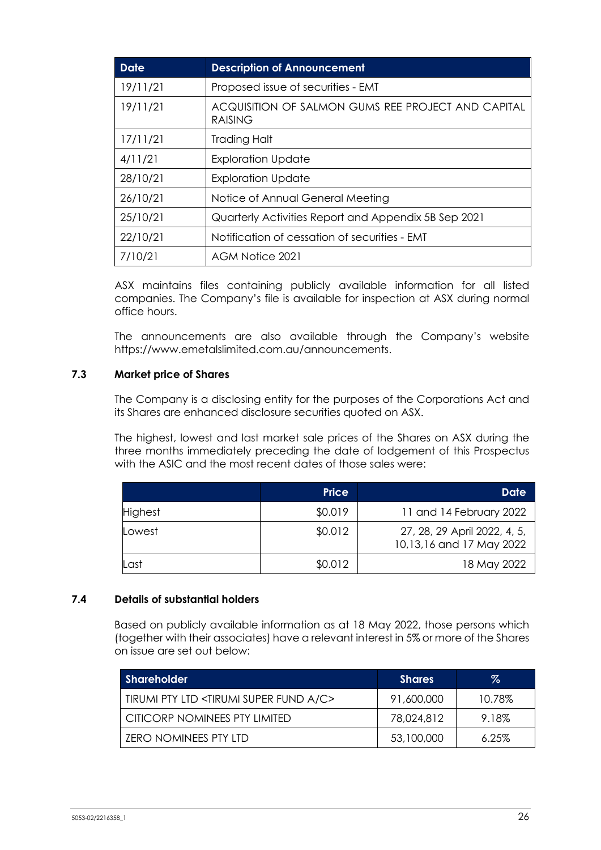| <b>Date</b> | <b>Description of Announcement</b>                                   |
|-------------|----------------------------------------------------------------------|
| 19/11/21    | Proposed issue of securities - EMT                                   |
| 19/11/21    | ACQUISITION OF SALMON GUMS REE PROJECT AND CAPITAL<br><b>RAISING</b> |
| 17/11/21    | Trading Halt                                                         |
| 4/11/21     | <b>Exploration Update</b>                                            |
| 28/10/21    | <b>Exploration Update</b>                                            |
| 26/10/21    | Notice of Annual General Meeting                                     |
| 25/10/21    | Quarterly Activities Report and Appendix 5B Sep 2021                 |
| 22/10/21    | Notification of cessation of securities - EMT                        |
| 7/10/21     | AGM Notice 2021                                                      |

ASX maintains files containing publicly available information for all listed companies. The Company's file is available for inspection at ASX during normal office hours.

The announcements are also available through the Company's website https://www.emetalslimited.com.au/announcements.

#### **7.3 Market price of Shares**

The Company is a disclosing entity for the purposes of the Corporations Act and its Shares are enhanced disclosure securities quoted on ASX.

The highest, lowest and last market sale prices of the Shares on ASX during the three months immediately preceding the date of lodgement of this Prospectus with the ASIC and the most recent dates of those sales were:

|                | <b>Price</b> | Date                                                     |
|----------------|--------------|----------------------------------------------------------|
| <b>Highest</b> | \$0.019      | 11 and 14 February 2022                                  |
| Lowest         | \$0.012      | 27, 28, 29 April 2022, 4, 5,<br>10,13,16 and 17 May 2022 |
| Last           | \$0.012      | 18 May 2022                                              |

#### **7.4 Details of substantial holders**

Based on publicly available information as at 18 May 2022, those persons which (together with their associates) have a relevant interest in 5% or more of the Shares on issue are set out below:

| <b>Shareholder</b>                                          | <b>Shares</b> | %        |
|-------------------------------------------------------------|---------------|----------|
| TIRUMI PTY LTD <tirumi a="" c="" fund="" super=""></tirumi> | 91,600,000    | 10.78%   |
| CITICORP NOMINEES PTY LIMITED                               | 78,024,812    | 9.18%    |
| ZERO NOMINEES PTY LTD                                       | 53,100,000    | $6.25\%$ |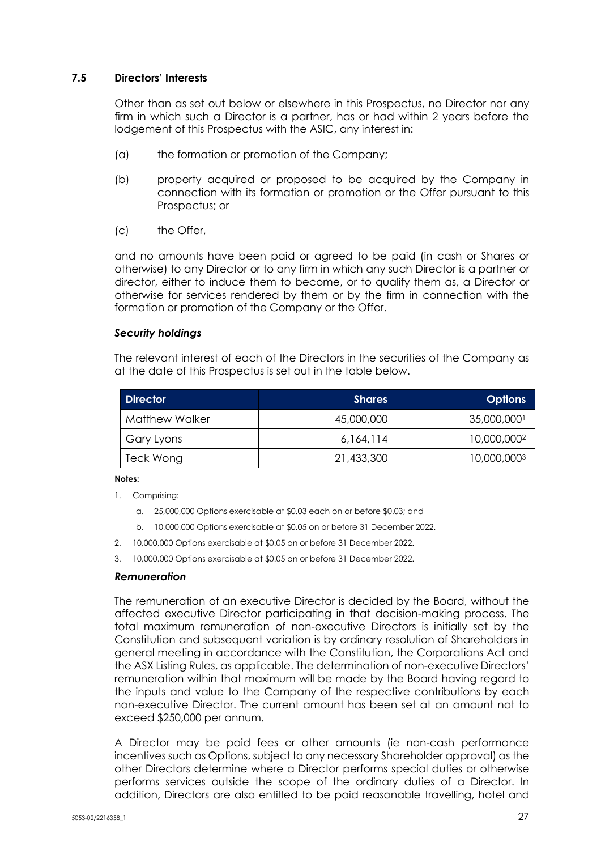## **7.5 Directors' Interests**

Other than as set out below or elsewhere in this Prospectus, no Director nor any firm in which such a Director is a partner, has or had within 2 years before the lodgement of this Prospectus with the ASIC, any interest in:

- (a) the formation or promotion of the Company;
- (b) property acquired or proposed to be acquired by the Company in connection with its formation or promotion or the Offer pursuant to this Prospectus; or
- (c) the Offer,

and no amounts have been paid or agreed to be paid (in cash or Shares or otherwise) to any Director or to any firm in which any such Director is a partner or director, either to induce them to become, or to qualify them as, a Director or otherwise for services rendered by them or by the firm in connection with the formation or promotion of the Company or the Offer.

#### *Security holdings*

The relevant interest of each of the Directors in the securities of the Company as at the date of this Prospectus is set out in the table below.

| <b>Director</b> | <b>Shares</b> | <b>Options</b> |
|-----------------|---------------|----------------|
| Matthew Walker  | 45,000,000    | 35,000,0001    |
| Gary Lyons      | 6,164,114     | 10,000,0002    |
| Teck Wong       | 21,433,300    | 10,000,0003    |

#### **Notes:**

- 1. Comprising:
	- a. 25,000,000 Options exercisable at \$0.03 each on or before \$0.03; and
	- b. 10,000,000 Options exercisable at \$0.05 on or before 31 December 2022.
- 2. 10,000,000 Options exercisable at \$0.05 on or before 31 December 2022.
- 3. 10,000,000 Options exercisable at \$0.05 on or before 31 December 2022.

#### *Remuneration*

The remuneration of an executive Director is decided by the Board, without the affected executive Director participating in that decision-making process. The total maximum remuneration of non-executive Directors is initially set by the Constitution and subsequent variation is by ordinary resolution of Shareholders in general meeting in accordance with the Constitution, the Corporations Act and the ASX Listing Rules, as applicable. The determination of non-executive Directors' remuneration within that maximum will be made by the Board having regard to the inputs and value to the Company of the respective contributions by each non-executive Director. The current amount has been set at an amount not to exceed \$250,000 per annum.

A Director may be paid fees or other amounts (ie non-cash performance incentives such as Options, subject to any necessary Shareholder approval) as the other Directors determine where a Director performs special duties or otherwise performs services outside the scope of the ordinary duties of a Director. In addition, Directors are also entitled to be paid reasonable travelling, hotel and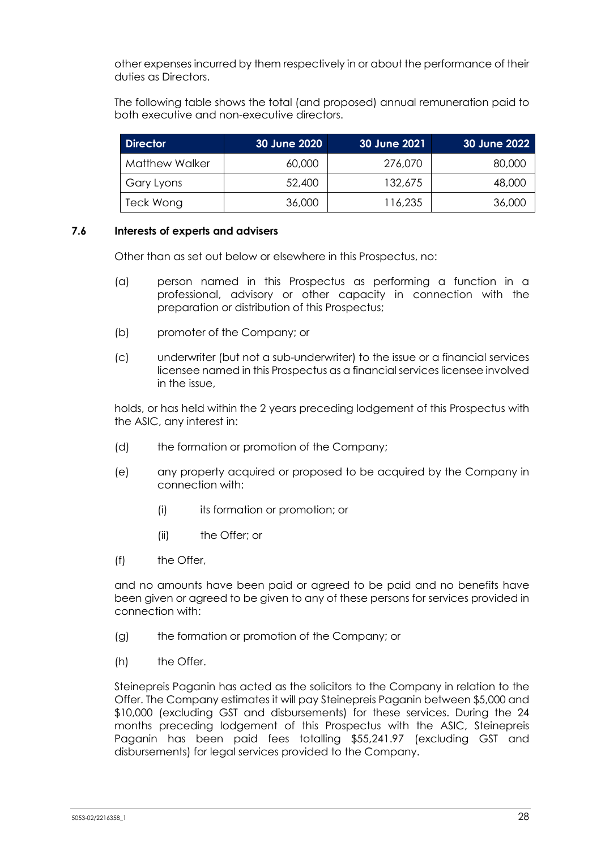other expenses incurred by them respectively in or about the performance of their duties as Directors.

The following table shows the total (and proposed) annual remuneration paid to both executive and non-executive directors.

| <b>Director</b>       | 30 June 2020 | 30 June 2021 | <b>30 June 2022</b> |
|-----------------------|--------------|--------------|---------------------|
| <b>Matthew Walker</b> | 60,000       | 276,070      | 80,000              |
| Gary Lyons            | 52,400       | 132,675      | 48,000              |
| Teck Wong             | 36,000       | 116,235      | 36,000              |

#### **7.6 Interests of experts and advisers**

Other than as set out below or elsewhere in this Prospectus, no:

- (a) person named in this Prospectus as performing a function in a professional, advisory or other capacity in connection with the preparation or distribution of this Prospectus;
- (b) promoter of the Company; or
- (c) underwriter (but not a sub-underwriter) to the issue or a financial services licensee named in this Prospectus as a financial services licensee involved in the issue,

holds, or has held within the 2 years preceding lodgement of this Prospectus with the ASIC, any interest in:

- (d) the formation or promotion of the Company;
- (e) any property acquired or proposed to be acquired by the Company in connection with:
	- (i) its formation or promotion; or
	- (ii) the Offer; or
- (f) the Offer,

and no amounts have been paid or agreed to be paid and no benefits have been given or agreed to be given to any of these persons for services provided in connection with:

- (g) the formation or promotion of the Company; or
- (h) the Offer.

Steinepreis Paganin has acted as the solicitors to the Company in relation to the Offer. The Company estimates it will pay Steinepreis Paganin between \$5,000 and \$10,000 (excluding GST and disbursements) for these services. During the 24 months preceding lodgement of this Prospectus with the ASIC, Steinepreis Paganin has been paid fees totalling \$55,241.97 (excluding GST and disbursements) for legal services provided to the Company.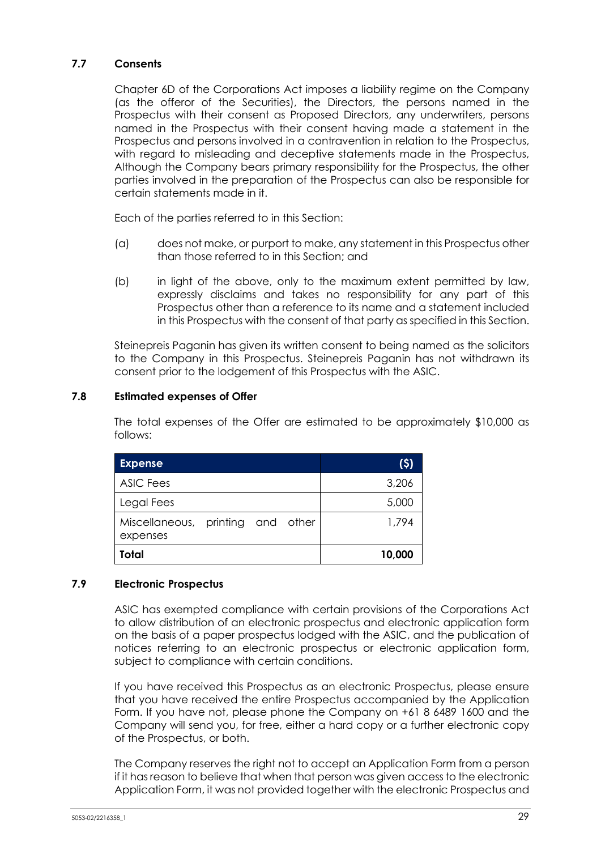## **7.7 Consents**

Chapter 6D of the Corporations Act imposes a liability regime on the Company (as the offeror of the Securities), the Directors, the persons named in the Prospectus with their consent as Proposed Directors, any underwriters, persons named in the Prospectus with their consent having made a statement in the Prospectus and persons involved in a contravention in relation to the Prospectus, with regard to misleading and deceptive statements made in the Prospectus, Although the Company bears primary responsibility for the Prospectus, the other parties involved in the preparation of the Prospectus can also be responsible for certain statements made in it.

Each of the parties referred to in this Section:

- (a) does not make, or purport to make, any statement in this Prospectus other than those referred to in this Section; and
- (b) in light of the above, only to the maximum extent permitted by law, expressly disclaims and takes no responsibility for any part of this Prospectus other than a reference to its name and a statement included in this Prospectus with the consent of that party as specified in this Section.

Steinepreis Paganin has given its written consent to being named as the solicitors to the Company in this Prospectus. Steinepreis Paganin has not withdrawn its consent prior to the lodgement of this Prospectus with the ASIC.

#### <span id="page-30-0"></span>**7.8 Estimated expenses of Offer**

The total expenses of the Offer are estimated to be approximately \$10,000 as follows:

| <b>Expense</b>                                |  | (5)    |
|-----------------------------------------------|--|--------|
| <b>ASIC Fees</b>                              |  | 3,206  |
| Legal Fees                                    |  | 5,000  |
| Miscellaneous, printing and other<br>expenses |  | 1,794  |
| Total                                         |  | 10,000 |

#### **7.9 Electronic Prospectus**

ASIC has exempted compliance with certain provisions of the Corporations Act to allow distribution of an electronic prospectus and electronic application form on the basis of a paper prospectus lodged with the ASIC, and the publication of notices referring to an electronic prospectus or electronic application form, subject to compliance with certain conditions.

If you have received this Prospectus as an electronic Prospectus, please ensure that you have received the entire Prospectus accompanied by the Application Form. If you have not, please phone the Company on +61 8 6489 1600 and the Company will send you, for free, either a hard copy or a further electronic copy of the Prospectus, or both.

The Company reserves the right not to accept an Application Form from a person if it has reason to believe that when that person was given access to the electronic Application Form, it was not provided together with the electronic Prospectus and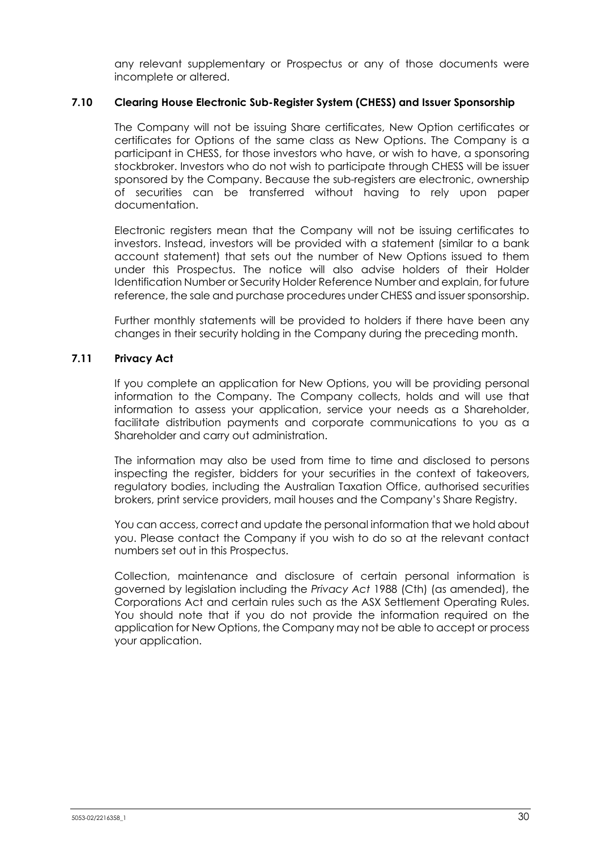any relevant supplementary or Prospectus or any of those documents were incomplete or altered.

#### **7.10 Clearing House Electronic Sub-Register System (CHESS) and Issuer Sponsorship**

The Company will not be issuing Share certificates, New Option certificates or certificates for Options of the same class as New Options. The Company is a participant in CHESS, for those investors who have, or wish to have, a sponsoring stockbroker. Investors who do not wish to participate through CHESS will be issuer sponsored by the Company. Because the sub-registers are electronic, ownership of securities can be transferred without having to rely upon paper documentation.

Electronic registers mean that the Company will not be issuing certificates to investors. Instead, investors will be provided with a statement (similar to a bank account statement) that sets out the number of New Options issued to them under this Prospectus. The notice will also advise holders of their Holder Identification Number or Security Holder Reference Number and explain, for future reference, the sale and purchase procedures under CHESS and issuer sponsorship.

Further monthly statements will be provided to holders if there have been any changes in their security holding in the Company during the preceding month.

#### **7.11 Privacy Act**

If you complete an application for New Options, you will be providing personal information to the Company. The Company collects, holds and will use that information to assess your application, service your needs as a Shareholder, facilitate distribution payments and corporate communications to you as a Shareholder and carry out administration.

The information may also be used from time to time and disclosed to persons inspecting the register, bidders for your securities in the context of takeovers, regulatory bodies, including the Australian Taxation Office, authorised securities brokers, print service providers, mail houses and the Company's Share Registry.

You can access, correct and update the personal information that we hold about you. Please contact the Company if you wish to do so at the relevant contact numbers set out in this Prospectus.

Collection, maintenance and disclosure of certain personal information is governed by legislation including the *Privacy Act* 1988 (Cth) (as amended), the Corporations Act and certain rules such as the ASX Settlement Operating Rules. You should note that if you do not provide the information required on the application for New Options, the Company may not be able to accept or process your application.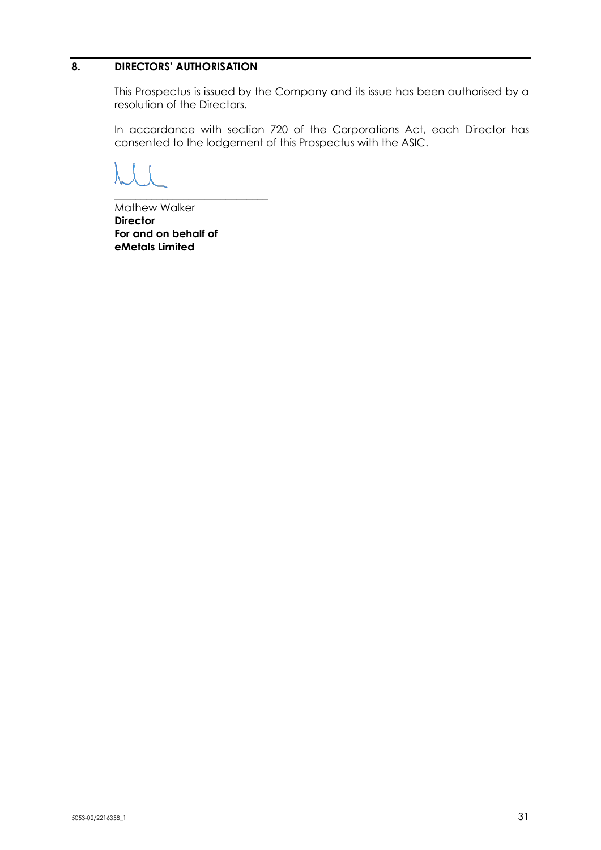# **8. DIRECTORS' AUTHORISATION**

This Prospectus is issued by the Company and its issue has been authorised by a resolution of the Directors.

In accordance with section 720 of the Corporations Act, each Director has consented to the lodgement of this Prospectus with the ASIC.

Mathew Walker **Director For and on behalf of eMetals Limited** 

\_\_\_\_\_\_\_\_\_\_\_\_\_\_\_\_\_\_\_\_\_\_\_\_\_\_\_\_\_